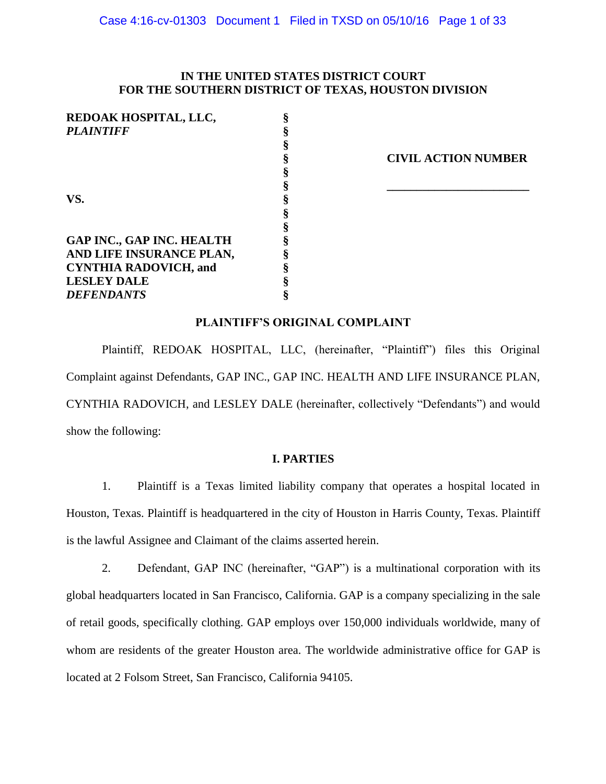# **IN THE UNITED STATES DISTRICT COURT FOR THE SOUTHERN DISTRICT OF TEXAS, HOUSTON DIVISION**

| REDOAK HOSPITAL, LLC,            |                            |
|----------------------------------|----------------------------|
| <b>PLAINTIFF</b>                 |                            |
|                                  |                            |
|                                  | <b>CIVIL ACTION NUMBER</b> |
|                                  |                            |
|                                  |                            |
| VS.                              |                            |
|                                  |                            |
|                                  |                            |
| <b>GAP INC., GAP INC. HEALTH</b> |                            |
| AND LIFE INSURANCE PLAN,         |                            |
| <b>CYNTHIA RADOVICH, and</b>     |                            |
| <b>LESLEY DALE</b>               |                            |
| <b>DEFENDANTS</b>                |                            |

## **PLAINTIFF'S ORIGINAL COMPLAINT**

Plaintiff, REDOAK HOSPITAL, LLC, (hereinafter, "Plaintiff") files this Original Complaint against Defendants, GAP INC., GAP INC. HEALTH AND LIFE INSURANCE PLAN, CYNTHIA RADOVICH, and LESLEY DALE (hereinafter, collectively "Defendants") and would show the following:

# **I. PARTIES**

1. Plaintiff is a Texas limited liability company that operates a hospital located in Houston, Texas. Plaintiff is headquartered in the city of Houston in Harris County, Texas. Plaintiff is the lawful Assignee and Claimant of the claims asserted herein.

2. Defendant, GAP INC (hereinafter, "GAP") is a multinational corporation with its global headquarters located in San Francisco, California. GAP is a company specializing in the sale of retail goods, specifically clothing. GAP employs over 150,000 individuals worldwide, many of whom are residents of the greater Houston area. The worldwide administrative office for GAP is located at 2 Folsom Street, San Francisco, California 94105.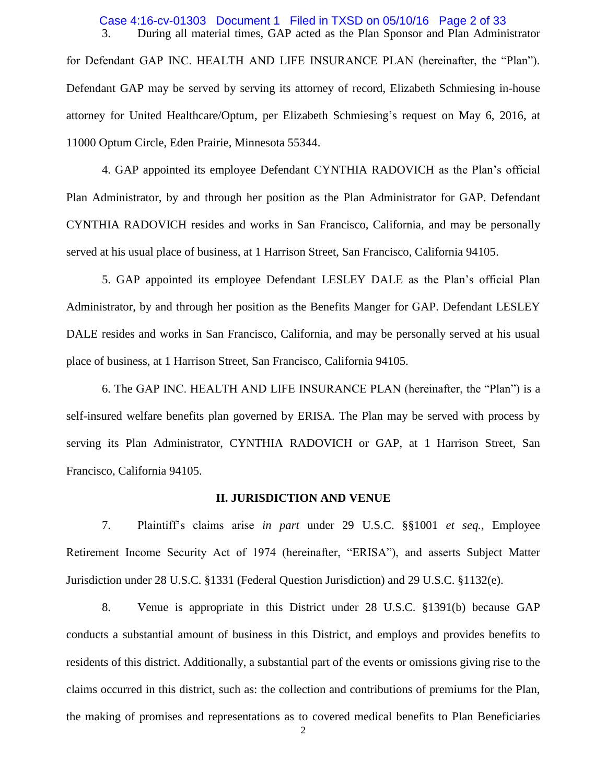#### 3. During all material times, GAP acted as the Plan Sponsor and Plan Administrator Case 4:16-cv-01303 Document 1 Filed in TXSD on 05/10/16 Page 2 of 33

for Defendant GAP INC. HEALTH AND LIFE INSURANCE PLAN (hereinafter, the "Plan"). Defendant GAP may be served by serving its attorney of record, Elizabeth Schmiesing in-house attorney for United Healthcare/Optum, per Elizabeth Schmiesing's request on May 6, 2016, at 11000 Optum Circle, Eden Prairie, Minnesota 55344.

4. GAP appointed its employee Defendant CYNTHIA RADOVICH as the Plan's official Plan Administrator, by and through her position as the Plan Administrator for GAP. Defendant CYNTHIA RADOVICH resides and works in San Francisco, California, and may be personally served at his usual place of business, at 1 Harrison Street, San Francisco, California 94105.

5. GAP appointed its employee Defendant LESLEY DALE as the Plan's official Plan Administrator, by and through her position as the Benefits Manger for GAP. Defendant LESLEY DALE resides and works in San Francisco, California, and may be personally served at his usual place of business, at 1 Harrison Street, San Francisco, California 94105.

6. The GAP INC. HEALTH AND LIFE INSURANCE PLAN (hereinafter, the "Plan") is a self-insured welfare benefits plan governed by ERISA. The Plan may be served with process by serving its Plan Administrator, CYNTHIA RADOVICH or GAP, at 1 Harrison Street, San Francisco, California 94105.

#### **II. JURISDICTION AND VENUE**

7. Plaintiff's claims arise *in part* under 29 U.S.C. §§1001 *et seq.,* Employee Retirement Income Security Act of 1974 (hereinafter, "ERISA"), and asserts Subject Matter Jurisdiction under 28 U.S.C. §1331 (Federal Question Jurisdiction) and 29 U.S.C. §1132(e).

8. Venue is appropriate in this District under 28 U.S.C. §1391(b) because GAP conducts a substantial amount of business in this District, and employs and provides benefits to residents of this district. Additionally, a substantial part of the events or omissions giving rise to the claims occurred in this district, such as: the collection and contributions of premiums for the Plan, the making of promises and representations as to covered medical benefits to Plan Beneficiaries

2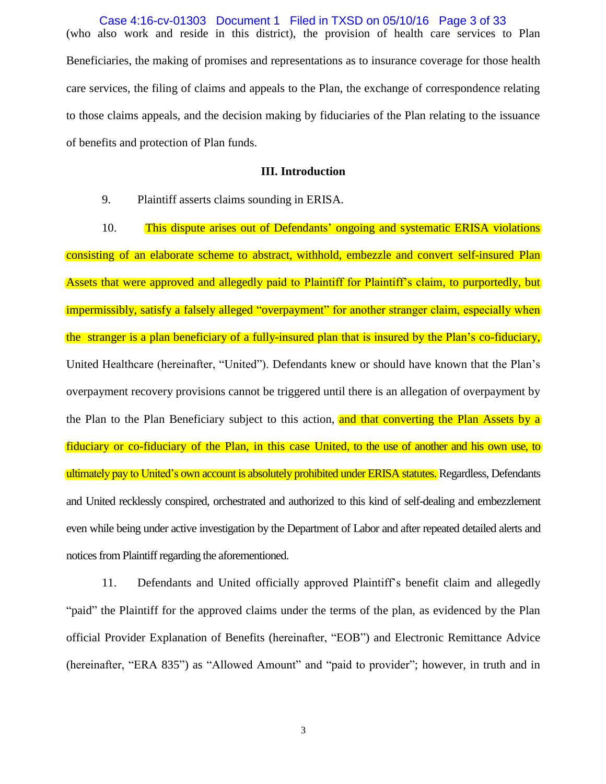(who also work and reside in this district), the provision of health care services to Plan Beneficiaries, the making of promises and representations as to insurance coverage for those health care services, the filing of claims and appeals to the Plan, the exchange of correspondence relating to those claims appeals, and the decision making by fiduciaries of the Plan relating to the issuance of benefits and protection of Plan funds. Case 4:16-cv-01303 Document 1 Filed in TXSD on 05/10/16 Page 3 of 33

### **III. Introduction**

9. Plaintiff asserts claims sounding in ERISA.

10. This dispute arises out of Defendants' ongoing and systematic ERISA violations consisting of an elaborate scheme to abstract, withhold, embezzle and convert self-insured Plan Assets that were approved and allegedly paid to Plaintiff for Plaintiff's claim, to purportedly, but impermissibly, satisfy a falsely alleged "overpayment" for another stranger claim, especially when the stranger is a plan beneficiary of a fully-insured plan that is insured by the Plan's co-fiduciary, United Healthcare (hereinafter, "United"). Defendants knew or should have known that the Plan's overpayment recovery provisions cannot be triggered until there is an allegation of overpayment by the Plan to the Plan Beneficiary subject to this action, and that converting the Plan Assets by a fiduciary or co-fiduciary of the Plan, in this case United, to the use of another and his own use, to ultimately pay to United's own account is absolutely prohibited under ERISA statutes. Regardless, Defendants and United recklessly conspired, orchestrated and authorized to this kind of self-dealing and embezzlement even while being under active investigation by the Department of Labor and after repeated detailed alerts and notices from Plaintiff regarding the aforementioned.

11. Defendants and United officially approved Plaintiff's benefit claim and allegedly "paid" the Plaintiff for the approved claims under the terms of the plan, as evidenced by the Plan official Provider Explanation of Benefits (hereinafter, "EOB") and Electronic Remittance Advice (hereinafter, "ERA 835") as "Allowed Amount" and "paid to provider"; however, in truth and in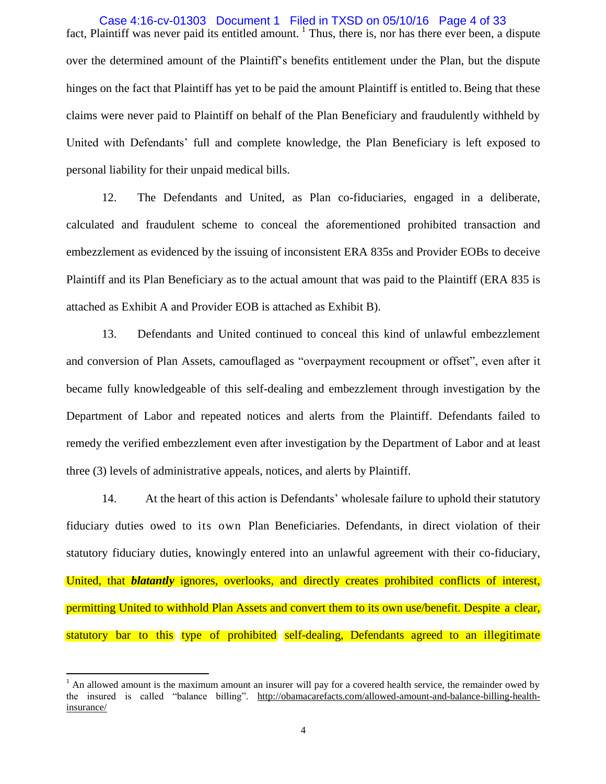fact, Plaintiff was never paid its entitled amount.<sup>1</sup> Thus, there is, nor has there ever been, a dispute over the determined amount of the Plaintiff's benefits entitlement under the Plan, but the dispute hinges on the fact that Plaintiff has yet to be paid the amount Plaintiff is entitled to. Being that these claims were never paid to Plaintiff on behalf of the Plan Beneficiary and fraudulently withheld by United with Defendants' full and complete knowledge, the Plan Beneficiary is left exposed to personal liability for their unpaid medical bills. Case 4:16-cv-01303 Document 1 Filed in TXSD on 05/10/16 Page 4 of 33

12. The Defendants and United, as Plan co-fiduciaries, engaged in a deliberate, calculated and fraudulent scheme to conceal the aforementioned prohibited transaction and embezzlement as evidenced by the issuing of inconsistent ERA 835s and Provider EOBs to deceive Plaintiff and its Plan Beneficiary as to the actual amount that was paid to the Plaintiff (ERA 835 is attached as Exhibit A and Provider EOB is attached as Exhibit B).

13. Defendants and United continued to conceal this kind of unlawful embezzlement and conversion of Plan Assets, camouflaged as "overpayment recoupment or offset", even after it became fully knowledgeable of this self-dealing and embezzlement through investigation by the Department of Labor and repeated notices and alerts from the Plaintiff. Defendants failed to remedy the verified embezzlement even after investigation by the Department of Labor and at least three (3) levels of administrative appeals, notices, and alerts by Plaintiff.

14. At the heart of this action is Defendants' wholesale failure to uphold their statutory fiduciary duties owed to its own Plan Beneficiaries. Defendants, in direct violation of their statutory fiduciary duties, knowingly entered into an unlawful agreement with their co-fiduciary, United, that *blatantly* ignores, overlooks, and directly creates prohibited conflicts of interest, permitting United to withhold Plan Assets and convert them to its own use/benefit. Despite a clear, statutory bar to this type of prohibited self-dealing, Defendants agreed to an illegitimate

 $\overline{a}$ 

 $<sup>1</sup>$  An allowed amount is the maximum amount an insurer will pay for a covered health service, the remainder owed by</sup> the insured is called "balance billing". [http://obamacarefacts.com/allowed-amount-and-balance-billing-health](http://obamacarefacts.com/allowed-amount-and-balance-billing-health-insurance/)[insurance/](http://obamacarefacts.com/allowed-amount-and-balance-billing-health-insurance/)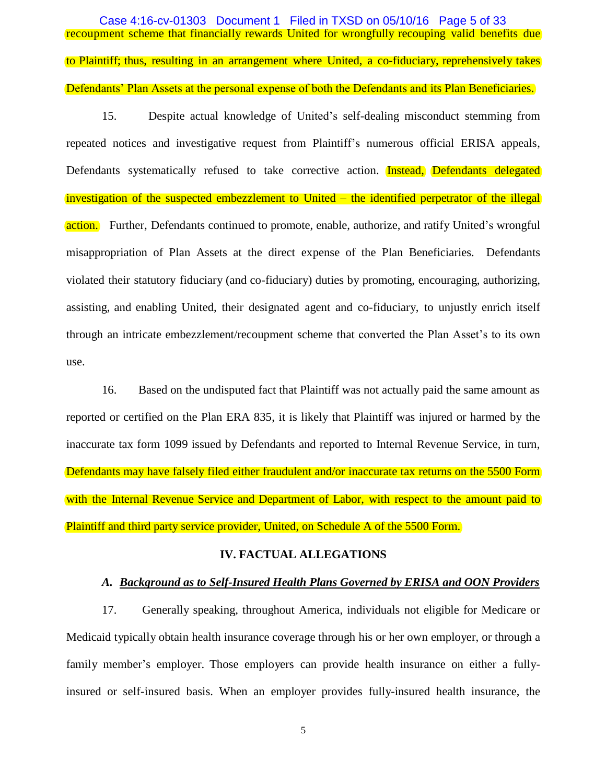recoupment scheme that financially rewards United for wrongfully recouping valid benefits due to Plaintiff; thus, resulting in an arrangement where United, a co-fiduciary, reprehensively takes Defendants' Plan Assets at the personal expense of both the Defendants and its Plan Beneficiaries. Case 4:16-cv-01303 Document 1 Filed in TXSD on 05/10/16 Page 5 of 33

15. Despite actual knowledge of United's self-dealing misconduct stemming from repeated notices and investigative request from Plaintiff's numerous official ERISA appeals, Defendants systematically refused to take corrective action. **Instead, Defendants delegated** investigation of the suspected embezzlement to United – the identified perpetrator of the illegal action. Further, Defendants continued to promote, enable, authorize, and ratify United's wrongful misappropriation of Plan Assets at the direct expense of the Plan Beneficiaries. Defendants violated their statutory fiduciary (and co-fiduciary) duties by promoting, encouraging, authorizing, assisting, and enabling United, their designated agent and co-fiduciary, to unjustly enrich itself through an intricate embezzlement/recoupment scheme that converted the Plan Asset's to its own use.

16. Based on the undisputed fact that Plaintiff was not actually paid the same amount as reported or certified on the Plan ERA 835, it is likely that Plaintiff was injured or harmed by the inaccurate tax form 1099 issued by Defendants and reported to Internal Revenue Service, in turn, Defendants may have falsely filed either fraudulent and/or inaccurate tax returns on the 5500 Form with the Internal Revenue Service and Department of Labor, with respect to the amount paid to Plaintiff and third party service provider, United, on Schedule A of the 5500 Form.

### **IV. FACTUAL ALLEGATIONS**

## *A. Background as to Self-Insured Health Plans Governed by ERISA and OON Providers*

17. Generally speaking, throughout America, individuals not eligible for Medicare or Medicaid typically obtain health insurance coverage through his or her own employer, or through a family member's employer. Those employers can provide health insurance on either a fullyinsured or self-insured basis. When an employer provides fully-insured health insurance, the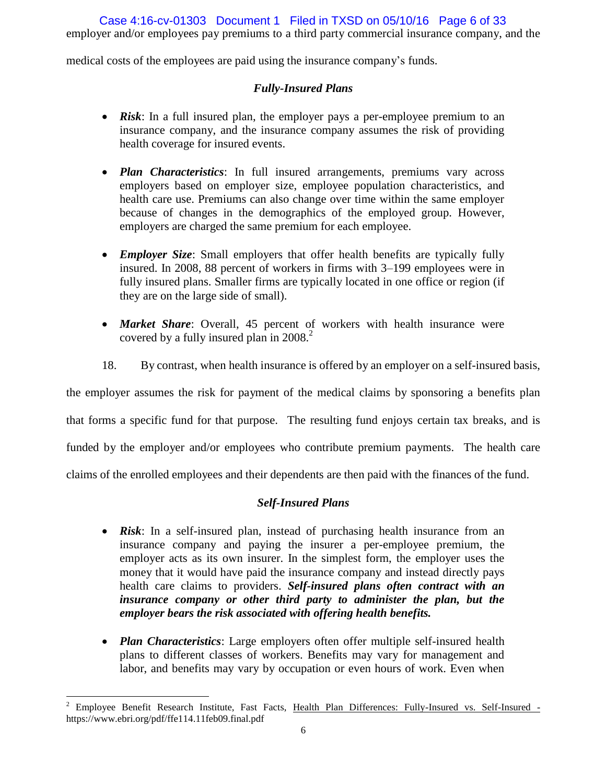employer and/or employees pay premiums to a third party commercial insurance company, and the Case 4:16-cv-01303 Document 1 Filed in TXSD on 05/10/16 Page 6 of 33

medical costs of the employees are paid using the insurance company's funds.

# *Fully-Insured Plans*

- *Risk*: In a full insured plan, the employer pays a per-employee premium to an insurance company, and the insurance company assumes the risk of providing health coverage for insured events.
- *Plan Characteristics*: In full insured arrangements, premiums vary across employers based on employer size, employee population characteristics, and health care use. Premiums can also change over time within the same employer because of changes in the demographics of the employed group. However, employers are charged the same premium for each employee.
- *Employer Size*: Small employers that offer health benefits are typically fully insured. In 2008, 88 percent of workers in firms with 3–199 employees were in fully insured plans. Smaller firms are typically located in one office or region (if they are on the large side of small).
- *Market Share*: Overall, 45 percent of workers with health insurance were covered by a fully insured plan in 2008.<sup>2</sup>
- 18. By contrast, when health insurance is offered by an employer on a self-insured basis,

the employer assumes the risk for payment of the medical claims by sponsoring a benefits plan

that forms a specific fund for that purpose. The resulting fund enjoys certain tax breaks, and is

funded by the employer and/or employees who contribute premium payments. The health care

claims of the enrolled employees and their dependents are then paid with the finances of the fund.

# *Self-Insured Plans*

- *Risk*: In a self-insured plan, instead of purchasing health insurance from an insurance company and paying the insurer a per-employee premium, the employer acts as its own insurer. In the simplest form, the employer uses the money that it would have paid the insurance company and instead directly pays health care claims to providers. *Self-insured plans often contract with an insurance company or other third party to administer the plan, but the employer bears the risk associated with offering health benefits.*
- *Plan Characteristics*: Large employers often offer multiple self-insured health plans to different classes of workers. Benefits may vary for management and labor, and benefits may vary by occupation or even hours of work. Even when

 $\overline{a}$ <sup>2</sup> Employee Benefit Research Institute, Fast Facts, Health Plan Differences: Fully-Insured vs. Self-Insured https://www.ebri.org/pdf/ffe114.11feb09.final.pdf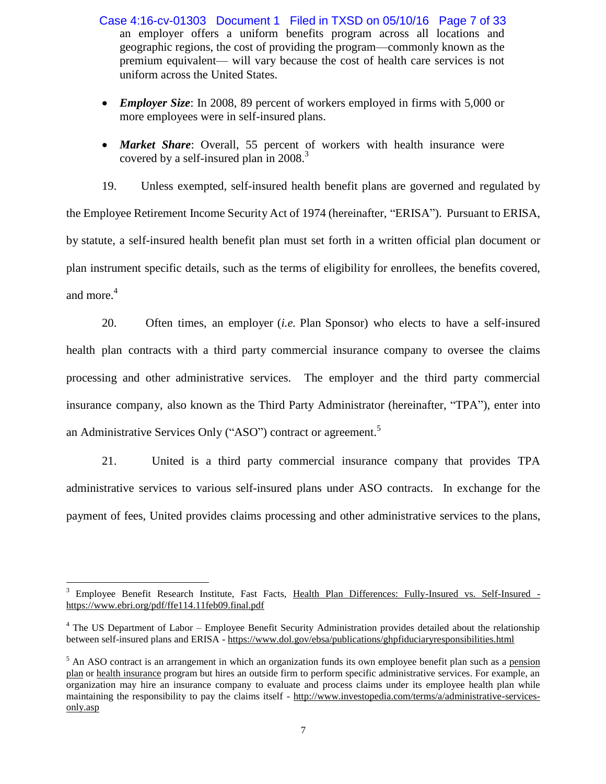an employer offers a uniform benefits program across all locations and geographic regions, the cost of providing the program—commonly known as the premium equivalent— will vary because the cost of health care services is not uniform across the United States. Case 4:16-cv-01303 Document 1 Filed in TXSD on 05/10/16 Page 7 of 33

- *Employer Size*: In 2008, 89 percent of workers employed in firms with 5,000 or more employees were in self-insured plans.
- *Market Share*: Overall, 55 percent of workers with health insurance were covered by a self-insured plan in 2008.<sup>3</sup>

19. Unless exempted, self-insured health benefit plans are governed and regulated by the Employee Retirement Income Security Act of 1974 (hereinafter, "ERISA"). Pursuant to ERISA, by statute, a self-insured health benefit plan must set forth in a written official plan document or plan instrument specific details, such as the terms of eligibility for enrollees, the benefits covered, and more. 4

20. Often times, an employer (*i.e.* Plan Sponsor) who elects to have a self-insured health plan contracts with a third party commercial insurance company to oversee the claims processing and other administrative services. The employer and the third party commercial insurance company, also known as the Third Party Administrator (hereinafter, "TPA"), enter into an Administrative Services Only ("ASO") contract or agreement.<sup>5</sup>

21. United is a third party commercial insurance company that provides TPA administrative services to various self-insured plans under ASO contracts. In exchange for the payment of fees, United provides claims processing and other administrative services to the plans,

 $\overline{a}$ <sup>3</sup> Employee Benefit Research Institute, Fast Facts, Health Plan Differences: Fully-Insured vs. Self-Insured <https://www.ebri.org/pdf/ffe114.11feb09.final.pdf>

<sup>&</sup>lt;sup>4</sup> The US Department of Labor – Employee Benefit Security Administration provides detailed about the relationship between self-insured plans and ERISA - <https://www.dol.gov/ebsa/publications/ghpfiduciaryresponsibilities.html>

<sup>&</sup>lt;sup>5</sup> An ASO contract is an arrangement in which an organization funds its own employee benefit plan such as a pension [plan](http://www.investopedia.com/terms/p/pensionplan.asp) or [health insurance](http://www.investopedia.com/terms/h/healthinsurance.asp) program but hires an outside firm to perform specific administrative services. For example, an organization may hire an insurance company to evaluate and process claims under its employee health plan while maintaining the responsibility to pay the claims itself - [http://www.investopedia.com/terms/a/administrative-services](http://www.investopedia.com/terms/a/administrative-services-only.asp)[only.asp](http://www.investopedia.com/terms/a/administrative-services-only.asp)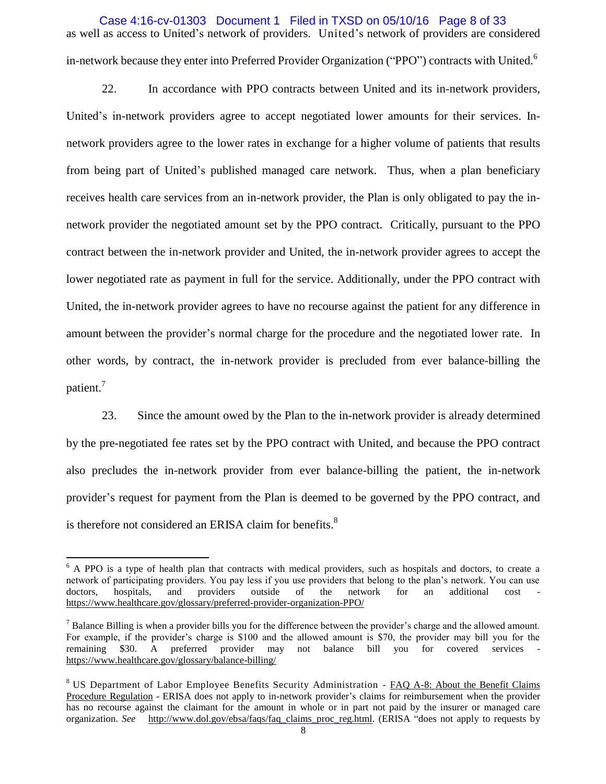as well as access to United's network of providers. United's network of providers are considered in-network because they enter into Preferred Provider Organization ("PPO") contracts with United.<sup>6</sup> Case 4:16-cv-01303 Document 1 Filed in TXSD on 05/10/16 Page 8 of 33

22. In accordance with PPO contracts between United and its in-network providers, United's in-network providers agree to accept negotiated lower amounts for their services. Innetwork providers agree to the lower rates in exchange for a higher volume of patients that results from being part of United's published managed care network. Thus, when a plan beneficiary receives health care services from an in-network provider, the Plan is only obligated to pay the innetwork provider the negotiated amount set by the PPO contract. Critically, pursuant to the PPO contract between the in-network provider and United, the in-network provider agrees to accept the lower negotiated rate as payment in full for the service. Additionally, under the PPO contract with United, the in-network provider agrees to have no recourse against the patient for any difference in amount between the provider's normal charge for the procedure and the negotiated lower rate. In other words, by contract, the in-network provider is precluded from ever balance-billing the patient.<sup>7</sup>

23. Since the amount owed by the Plan to the in-network provider is already determined by the pre-negotiated fee rates set by the PPO contract with United, and because the PPO contract also precludes the in-network provider from ever balance-billing the patient, the in-network provider's request for payment from the Plan is deemed to be governed by the PPO contract, and is therefore not considered an ERISA claim for benefits.<sup>8</sup>

 $\overline{a}$ 

<sup>&</sup>lt;sup>6</sup> A PPO is a type of health plan that contracts with medical providers, such as hospitals and doctors, to create a network of participating providers. You pay less if you use providers that belong to the plan's network. You can use doctors, hospitals, and providers outside of the network for an additional cost <https://www.healthcare.gov/glossary/preferred-provider-organization-PPO/>

 $<sup>7</sup>$  Balance Billing is when a provider bills you for the difference between the provider's charge and the allowed amount.</sup> For example, if the provider's charge is \$100 and the allowed amount is \$70, the provider may bill you for the remaining \$30. A preferred provider may not balance bill you for covered services <https://www.healthcare.gov/glossary/balance-billing/>

<sup>&</sup>lt;sup>8</sup> US Department of Labor Employee Benefits Security Administration - FAQ A-8: About the Benefit Claims Procedure Regulation - ERISA does not apply to in-network provider's claims for reimbursement when the provider has no recourse against the claimant for the amount in whole or in part not paid by the insurer or managed care organization. *See* [http://www.dol.gov/ebsa/faqs/faq\\_claims\\_proc\\_reg.html.](http://www.dol.gov/ebsa/faqs/faq_claims_proc_reg.html) (ERISA "does not apply to requests by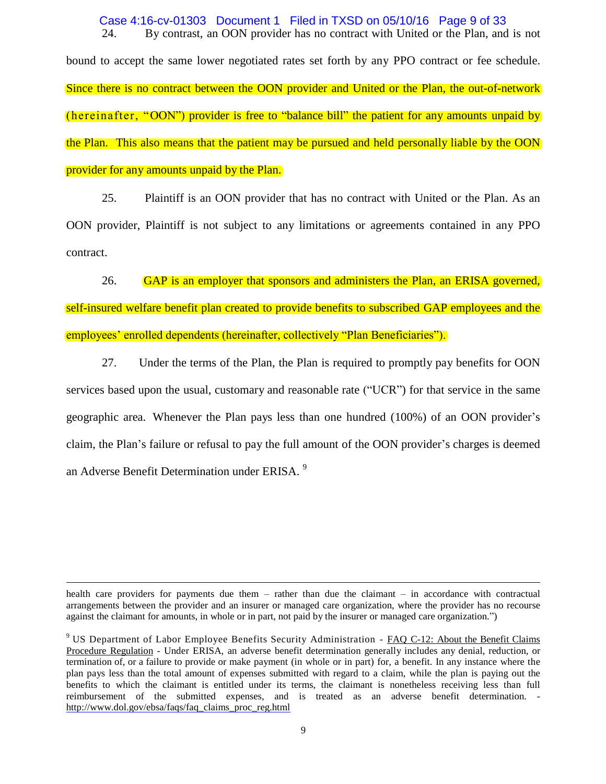24. By contrast, an OON provider has no contract with United or the Plan, and is not Case 4:16-cv-01303 Document 1 Filed in TXSD on 05/10/16 Page 9 of 33

bound to accept the same lower negotiated rates set forth by any PPO contract or fee schedule. Since there is no contract between the OON provider and United or the Plan, the out-of-network (hereinafter, "OON") provider is free to "balance bill" the patient for any amounts unpaid by the Plan. This also means that the patient may be pursued and held personally liable by the OON provider for any amounts unpaid by the Plan.

25. Plaintiff is an OON provider that has no contract with United or the Plan. As an OON provider, Plaintiff is not subject to any limitations or agreements contained in any PPO contract.

26. GAP is an employer that sponsors and administers the Plan, an ERISA governed, self-insured welfare benefit plan created to provide benefits to subscribed GAP employees and the employees' enrolled dependents (hereinafter, collectively "Plan Beneficiaries").

27. Under the terms of the Plan, the Plan is required to promptly pay benefits for OON services based upon the usual, customary and reasonable rate ("UCR") for that service in the same geographic area. Whenever the Plan pays less than one hundred (100%) of an OON provider's claim, the Plan's failure or refusal to pay the full amount of the OON provider's charges is deemed an Adverse Benefit Determination under ERISA.<sup>9</sup>

health care providers for payments due them – rather than due the claimant – in accordance with contractual arrangements between the provider and an insurer or managed care organization, where the provider has no recourse against the claimant for amounts, in whole or in part, not paid by the insurer or managed care organization.")

 $\overline{a}$ 

<sup>9</sup> US Department of Labor Employee Benefits Security Administration - FAQ C-12: About the Benefit Claims Procedure Regulation - Under ERISA, an adverse benefit determination generally includes any denial, reduction, or termination of, or a failure to provide or make payment (in whole or in part) for, a benefit. In any instance where the plan pays less than the total amount of expenses submitted with regard to a claim, while the plan is paying out the benefits to which the claimant is entitled under its terms, the claimant is nonetheless receiving less than full reimbursement of the submitted expenses, and is treated as an adverse benefit determination. [http://www.dol.gov/ebsa/faqs/faq\\_claims\\_proc\\_reg.html](http://www.dol.gov/ebsa/faqs/faq_claims_proc_reg.html)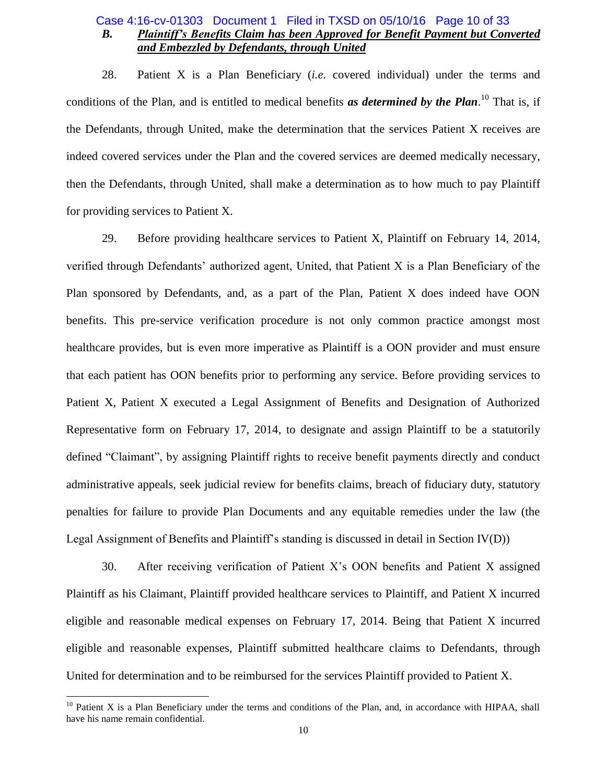# *B. Plaintiff's Benefits Claim has been Approved for Benefit Payment but Converted and Embezzled by Defendants, through United* Case 4:16-cv-01303 Document 1 Filed in TXSD on 05/10/16 Page 10 of 33

28. Patient X is a Plan Beneficiary (*i.e.* covered individual) under the terms and conditions of the Plan, and is entitled to medical benefits *as determined by the Plan*. <sup>10</sup> That is, if the Defendants, through United, make the determination that the services Patient X receives are indeed covered services under the Plan and the covered services are deemed medically necessary, then the Defendants, through United, shall make a determination as to how much to pay Plaintiff for providing services to Patient X.

29. Before providing healthcare services to Patient X, Plaintiff on February 14, 2014, verified through Defendants' authorized agent, United, that Patient X is a Plan Beneficiary of the Plan sponsored by Defendants, and, as a part of the Plan, Patient X does indeed have OON benefits. This pre-service verification procedure is not only common practice amongst most healthcare provides, but is even more imperative as Plaintiff is a OON provider and must ensure that each patient has OON benefits prior to performing any service. Before providing services to Patient X, Patient X executed a Legal Assignment of Benefits and Designation of Authorized Representative form on February 17, 2014, to designate and assign Plaintiff to be a statutorily defined "Claimant", by assigning Plaintiff rights to receive benefit payments directly and conduct administrative appeals, seek judicial review for benefits claims, breach of fiduciary duty, statutory penalties for failure to provide Plan Documents and any equitable remedies under the law (the Legal Assignment of Benefits and Plaintiff's standing is discussed in detail in Section IV(D))

30. After receiving verification of Patient X's OON benefits and Patient X assigned Plaintiff as his Claimant, Plaintiff provided healthcare services to Plaintiff, and Patient X incurred eligible and reasonable medical expenses on February 17, 2014. Being that Patient X incurred eligible and reasonable expenses, Plaintiff submitted healthcare claims to Defendants, through United for determination and to be reimbursed for the services Plaintiff provided to Patient X.

 $\overline{a}$ 

 $10$  Patient X is a Plan Beneficiary under the terms and conditions of the Plan, and, in accordance with HIPAA, shall have his name remain confidential.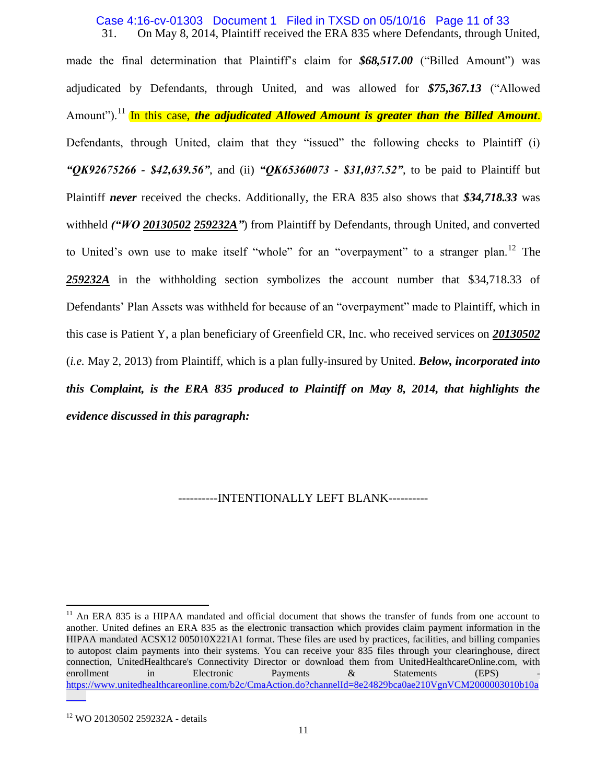31. On May 8, 2014, Plaintiff received the ERA 835 where Defendants, through United, Case 4:16-cv-01303 Document 1 Filed in TXSD on 05/10/16 Page 11 of 33

made the final determination that Plaintiff's claim for **\$68,517.00** ("Billed Amount") was adjudicated by Defendants, through United, and was allowed for \$75,367.13 ("Allowed" Amount").<sup>11</sup> In this case, *the adjudicated Allowed Amount is greater than the Billed Amount*. Defendants, through United, claim that they "issued" the following checks to Plaintiff (i) *"QK92675266 - \$42,639.56"*, and (ii) *"QK65360073 - \$31,037.52"*, to be paid to Plaintiff but Plaintiff *never* received the checks. Additionally, the ERA 835 also shows that *\$34,718.33* was withheld *("WO 20130502 259232A"*) from Plaintiff by Defendants, through United, and converted to United's own use to make itself "whole" for an "overpayment" to a stranger plan.<sup>12</sup> The *259232A* in the withholding section symbolizes the account number that \$34,718.33 of Defendants' Plan Assets was withheld for because of an "overpayment" made to Plaintiff, which in this case is Patient Y, a plan beneficiary of Greenfield CR, Inc. who received services on *20130502* (*i.e.* May 2, 2013) from Plaintiff, which is a plan fully-insured by United. *Below, incorporated into this Complaint, is the ERA 835 produced to Plaintiff on May 8, 2014, that highlights the evidence discussed in this paragraph:*

----------INTENTIONALLY LEFT BLANK----------

 $\overline{a}$ 

<sup>&</sup>lt;sup>11</sup> An ERA 835 is a HIPAA mandated and official document that shows the transfer of funds from one account to another. United defines an ERA 835 as the electronic transaction which provides claim payment information in the HIPAA mandated ACSX12 005010X221A1 format. These files are used by practices, facilities, and billing companies to autopost claim payments into their systems. You can receive your 835 files through your clearinghouse, direct connection, UnitedHealthcare's Connectivity Director or download them from UnitedHealthcareOnline.com, with enrollment in Electronic Payments & Statements (EPS) [https://www.unitedhealthcareonline.com/b2c/CmaAction.do?channelId=8e24829bca0ae210VgnVCM2000003010b10a](https://www.unitedhealthcareonline.com/b2c/CmaAction.do?channelId=8e24829bca0ae210VgnVCM2000003010b10a____)  $\overline{\phantom{a}}$ 

<sup>&</sup>lt;sup>12</sup> WO 20130502 259232A - details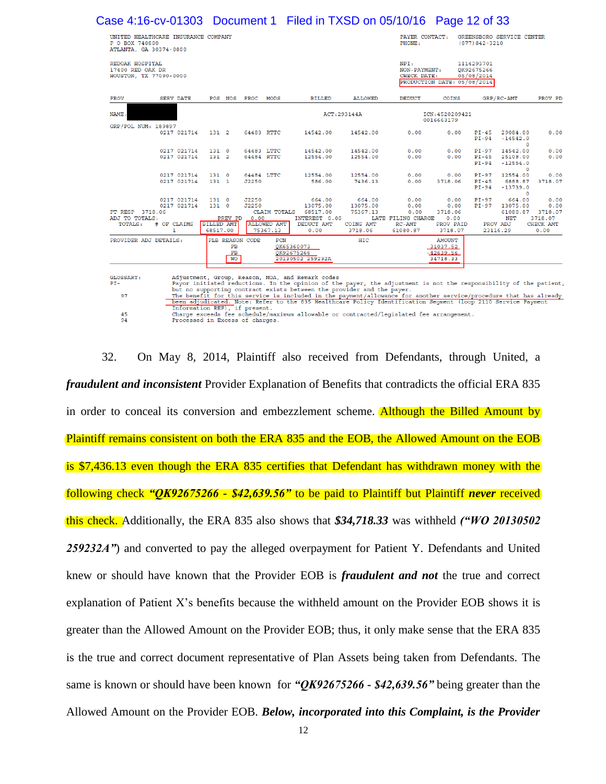| Case 4:16-cv-01303  Document 1  Filed in TXSD on 05/10/16  Page 12 of 33                       |                                                          |                                                                          |                                                                       |                                                        |                                                                  |                                                         |                                                |                                                      |                                              |
|------------------------------------------------------------------------------------------------|----------------------------------------------------------|--------------------------------------------------------------------------|-----------------------------------------------------------------------|--------------------------------------------------------|------------------------------------------------------------------|---------------------------------------------------------|------------------------------------------------|------------------------------------------------------|----------------------------------------------|
| UNITED HEALTHCARE INSURANCE COMPANY<br>P O BOX 740800<br>ATLANTA, GA 30374-0800                |                                                          |                                                                          |                                                                       |                                                        | PAYER CONTACT:<br>PHONE:                                         |                                                         | GREENSBORO SERVICE CENTER<br>$(877)842 - 3210$ |                                                      |                                              |
| REDOAK HOSPITAL<br>17400 RED OAK DR<br>HOUSTON, TX 77090-0000                                  |                                                          |                                                                          |                                                                       |                                                        | NPI:<br>NON-PAYMENT:<br>CHECK DATE:                              | PRODUCTION DATE: 05/08/2014                             | 1114293701<br>OK92675266<br>05/08/2014         |                                                      |                                              |
| <b>PROV</b><br><b>SERV DATE</b>                                                                | POS NOS PROC                                             | MODS                                                                     | <b>BILLED</b>                                                         | <b>ALLOWED</b>                                         | <b>DEDUCT</b>                                                    | COINS                                                   | GRP/RC-AMT                                     |                                                      | PROV PD                                      |
| NAME:                                                                                          |                                                          |                                                                          |                                                                       | ACT: 293144A                                           |                                                                  | ICN: 4520209421<br>0016663179                           |                                                |                                                      |                                              |
| GRP/POL NUM: 189897<br>0217 021714                                                             | $131 \quad 2$                                            | 64483 RTTC                                                               | 14542.00                                                              | 14542.00                                               | 0.00                                                             | 0.00                                                    | $PI-45$<br>$PI-94$                             | 29084.00<br>$-14542.0$<br>$\circ$                    | 0.00                                         |
| 0217 021714<br>0217 021714                                                                     | 1310<br>1312                                             | 64483 LTTC<br>64484 RTTC                                                 | 14542.00<br>12554.00                                                  | 14542.00<br>12554.00                                   | 0.00<br>0.00                                                     | 0.00<br>0.00                                            | $PI-97$<br>$PI-45$<br>$PI-94$                  | 14542.00<br>25108.00<br>$-12554.0$<br>$\Omega$       | 0.00<br>0.00                                 |
| 0217 021714<br>0217 021714                                                                     | 1310<br>$131 \quad 1$                                    | 64484 LTTC<br>J2250                                                      | 12554.00<br>586.00                                                    | 12554.00<br>7436.13                                    | 0.00<br>0.00                                                     | 0.00<br>3718.06                                         | $PI-97$<br>$PI-45$<br>$PI-94$                  | 12554.00<br>6888.87<br>$-13739.0$<br>$\Omega$        | 0.00<br>3718.07                              |
| 0217 021714<br>0217 021714<br>PT RESP 3718.06<br>ADJ TO TOTALS:<br># OF CLAIMS<br>TOTALS:<br>1 | 1310<br>1310<br>PREV PD<br><b>BILLED AMT</b><br>68517.00 | J2250<br>J2250<br>CLAIM TOTALS<br>0.00<br><b>ALLOWED AMT</b><br>75367.13 | 664.00<br>13075.00<br>68517.00<br>INTEREST 0.00<br>DEDUCT AMT<br>0.00 | 664.00<br>13075.00<br>75367.13<br>COINS AMT<br>3718.06 | 0.00<br>0.00<br>0.00<br>LATE FILING CHARGE<br>RC-AMT<br>61080.87 | 0.00<br>0.00<br>3718.06<br>0.00<br>PROV PAID<br>3718.07 | $PI-97$<br>$PI-97$<br>PROV ADJ<br>23116.29     | 664.00<br>13075.00<br>61080.87 3718.07<br><b>NET</b> | 0.00<br>0.00<br>3718.07<br>CHECK AMT<br>0.00 |
| PROVIDER ADJ DETAILS:                                                                          | PLB REASON CODE<br>FB<br>$_{\rm FB}$<br><b>WO</b>        | FCN                                                                      | QK65360073<br>OK92675266<br>20130502 259232A                          | HIC                                                    |                                                                  | <b>AMOUNT</b><br>31037.52<br>$-42639.56$<br>34718.33    |                                                |                                                      |                                              |

<sup>97</sup> 45<br>94

32. On May 8, 2014, Plaintiff also received from Defendants, through United, a *fraudulent and inconsistent* Provider Explanation of Benefits that contradicts the official ERA 835 in order to conceal its conversion and embezzlement scheme. Although the Billed Amount by Plaintiff remains consistent on both the ERA 835 and the EOB, the Allowed Amount on the EOB is \$7,436.13 even though the ERA 835 certifies that Defendant has withdrawn money with the following check *"QK92675266 - \$42,639.56"* to be paid to Plaintiff but Plaintiff *never* received this check. Additionally, the ERA 835 also shows that *\$34,718.33* was withheld *("WO 20130502 259232A"*) and converted to pay the alleged overpayment for Patient Y. Defendants and United knew or should have known that the Provider EOB is *fraudulent and not* the true and correct explanation of Patient X's benefits because the withheld amount on the Provider EOB shows it is greater than the Allowed Amount on the Provider EOB; thus, it only make sense that the ERA 835 is the true and correct document representative of Plan Assets being taken from Defendants. The same is known or should have been known for *"QK92675266 - \$42,639.56"* being greater than the Allowed Amount on the Provider EOB. *Below, incorporated into this Complaint, is the Provider* 

Payor initiated reautions. In the opinion of the payer, the aquistment is not the responsibility of the patient,<br>but no supporting contract exists between the provider and the payer.<br>The benefit for this service is include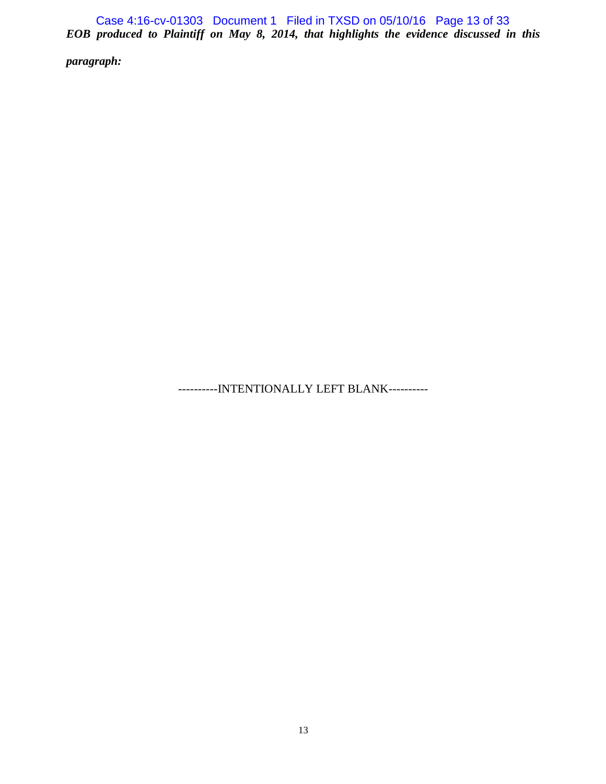*EOB produced to Plaintiff on May 8, 2014, that highlights the evidence discussed in this*  Case 4:16-cv-01303 Document 1 Filed in TXSD on 05/10/16 Page 13 of 33

*paragraph:*

----------INTENTIONALLY LEFT BLANK----------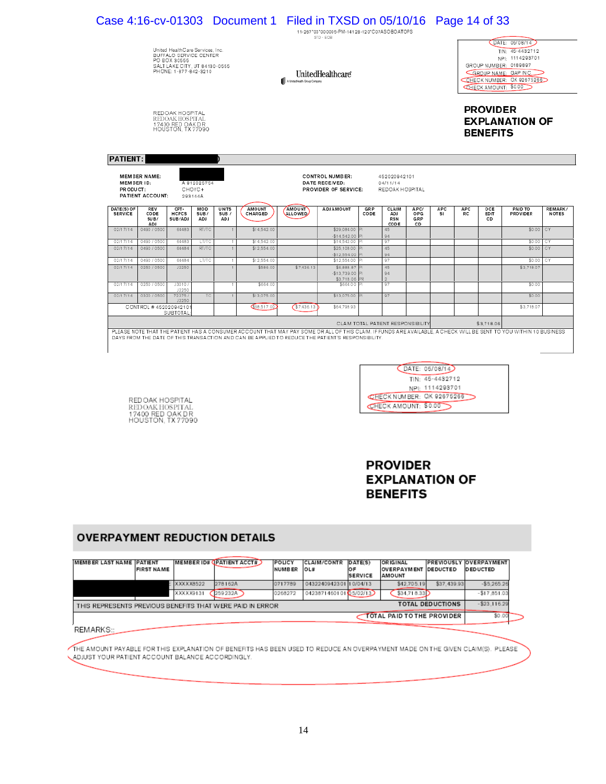|                              |                            |                                                                                                                                      |                           |                              | Case 4:16-cv-01303 Document 1 Filed in TXSD on 05/10/16 Page 14 of 33                                                                                                                                                                                                   |                              | 11-267"03"000005-PM-14128-120"C07ASOBOATOPS<br>STD - EOB |                    |                                    |                           |            |           |                                    |                                                                                                                                                            |              |
|------------------------------|----------------------------|--------------------------------------------------------------------------------------------------------------------------------------|---------------------------|------------------------------|-------------------------------------------------------------------------------------------------------------------------------------------------------------------------------------------------------------------------------------------------------------------------|------------------------------|----------------------------------------------------------|--------------------|------------------------------------|---------------------------|------------|-----------|------------------------------------|------------------------------------------------------------------------------------------------------------------------------------------------------------|--------------|
|                              |                            | United HealthCare Services, Inc.<br>BUFFALO SERVICE CENTER<br>PO BOX 30555<br>SALT LAKE CITY. UT 84130-0555<br>PHONE: 1-877-842-3210 |                           |                              |                                                                                                                                                                                                                                                                         | A UnitedHealth Group Company | UnitedHealthcare                                         |                    |                                    |                           |            |           |                                    | DATE: 05/08/14<br>TIN: 45-4432712<br>NPI: 1114293701<br>GROUP NUMBER: 0189897<br>GROUP NAME: GAP INC.<br>CHECK NUMBER: QK 92675266<br>CHECK AMOUNT: \$0.00 |              |
|                              |                            | RED OAK HOSPITAL<br>REDOAK HOSPITAL<br>17400 RED OAK DR<br>HOUSTON, TX 77090                                                         |                           |                              |                                                                                                                                                                                                                                                                         |                              |                                                          |                    |                                    |                           |            |           | <b>PROVIDER</b><br><b>BENEFITS</b> | <b>EXPLANATION OF</b>                                                                                                                                      |              |
| <b>PATIENT:</b>              |                            |                                                                                                                                      |                           |                              |                                                                                                                                                                                                                                                                         |                              |                                                          |                    |                                    |                           |            |           |                                    |                                                                                                                                                            |              |
| MEMBER ID:<br>PR ODUCT:      | <b>MEMBER NAME:</b>        |                                                                                                                                      | A 912025754               |                              |                                                                                                                                                                                                                                                                         |                              | <b>CONTROL NUMBER:</b><br>DATE RECEIVED:                 |                    | 452020942101<br>04/11/14           |                           |            |           |                                    |                                                                                                                                                            |              |
|                              | PATIENT ACCOUNT:           |                                                                                                                                      | CHOYC+<br>293144A         |                              |                                                                                                                                                                                                                                                                         |                              | PROVIDER OF SERVICE:                                     |                    | REDOAK HOSPITAL                    |                           |            |           |                                    |                                                                                                                                                            |              |
| DATE(S) OF<br><b>SERVICE</b> | REV<br>CODE<br>SUB/<br>ADJ | CPT-<br><b>HCPCS</b><br>SUB/ADJ                                                                                                      | MOD<br>SUB/<br><b>ADJ</b> | <b>UNITS</b><br>SUB /<br>ADJ | AMOUNT<br>CHARGED                                                                                                                                                                                                                                                       | AMOUNT<br><b>ALLOWED</b>     | <b>ADJAMOUNT</b>                                         | <b>GRP</b><br>CODE | CLAIM<br>ADJ<br><b>RSN</b><br>CODE | APC/<br>OPG<br>GRP<br>CD. | APC<br>SI. | APC<br>RC | OCE<br>ED IT<br>CD                 | PAID TO<br><b>PROVIDER</b>                                                                                                                                 | <b>NOTES</b> |
|                              | 0490 / 0500                | 64483                                                                                                                                | <b>RT/TC</b>              |                              | \$14,542.00                                                                                                                                                                                                                                                             |                              | \$29,084.00                                              |                    | 45                                 |                           |            |           |                                    | \$0.00                                                                                                                                                     | CY.          |
|                              |                            | 64483                                                                                                                                |                           |                              |                                                                                                                                                                                                                                                                         |                              | $-$14.542.00$                                            |                    | 94                                 |                           |            |           |                                    |                                                                                                                                                            |              |
| 02/17/14<br>02/17/14         | 0490 / 0500<br>0490 / 0500 | 64484                                                                                                                                | LT/TC<br><b>RT/TC</b>     |                              | \$14.542.00<br>\$12,554.00                                                                                                                                                                                                                                              |                              | \$14,542.00<br>\$25,108.00                               |                    | 97<br>45                           |                           |            |           |                                    | \$0.00<br>\$0.00                                                                                                                                           | CY<br>CY     |
| 02/17/14                     |                            |                                                                                                                                      |                           |                              |                                                                                                                                                                                                                                                                         |                              | $-$12.554.00$                                            |                    | 94                                 |                           |            |           |                                    |                                                                                                                                                            |              |
| 02/17/14                     | 0490 / 0500                | 64484                                                                                                                                | LT/TC                     |                              | \$12 554 00                                                                                                                                                                                                                                                             | \$7,436.13                   | \$12 554 00                                              |                    | 97                                 |                           |            |           |                                    | \$0.00                                                                                                                                                     | CY           |
|                              | 0250 / 0500                | J2250                                                                                                                                |                           |                              | \$586.00                                                                                                                                                                                                                                                                |                              | \$6,888.87<br>$-$13.739.00$                              |                    | 45<br>94                           |                           |            |           |                                    | \$3,718.07                                                                                                                                                 |              |
|                              |                            |                                                                                                                                      |                           |                              |                                                                                                                                                                                                                                                                         |                              | \$3,718.06                                               |                    | $\mathcal{D}$                      |                           |            |           |                                    |                                                                                                                                                            |              |
| 02/17/14<br>02/17/14         | 0250 / 0500                | J3010<br>J2250                                                                                                                       |                           |                              | \$664.00                                                                                                                                                                                                                                                                |                              | \$664.00                                                 |                    | 97                                 |                           |            |           |                                    | \$0.00                                                                                                                                                     |              |
| 02/17/14                     | 0320 / 0500                | 72275                                                                                                                                | TC                        |                              | \$13.075.00                                                                                                                                                                                                                                                             |                              | \$13,075.00                                              |                    | 97                                 |                           |            |           |                                    | \$0.00                                                                                                                                                     |              |
|                              | CONTROL #45202094210       | J2250<br><b>SUBTOTAL</b>                                                                                                             |                           |                              | \$68,517.00                                                                                                                                                                                                                                                             | \$7.436.13                   | \$64,798.93                                              |                    |                                    |                           |            |           |                                    | \$3.718.07                                                                                                                                                 | REMARK/      |
|                              |                            |                                                                                                                                      |                           |                              |                                                                                                                                                                                                                                                                         |                              |                                                          |                    | CLAIM TOTAL PATIENT RESPONSIBILITY |                           |            |           | \$3,718.06                         |                                                                                                                                                            |              |
|                              |                            |                                                                                                                                      |                           |                              |                                                                                                                                                                                                                                                                         |                              |                                                          |                    |                                    |                           |            |           |                                    |                                                                                                                                                            |              |
|                              |                            |                                                                                                                                      |                           |                              | PLEASE NOTE THAT THE PATIENT HAS A CONSUMER ACCOUNT THAT MAY PAY SOME OR ALL OF THIS CLAIM. IF FUNDS ARE AVAILABLE, A CHECK WILL BE SENT TO YOU WITHIN 10 BUSINESS<br>DAYS FROM THE DATE OF THIS TRANSACTION AND CAN BE APPLIED TO REDUCE THE PATIENT'S RESPONSIBILITY. |                              |                                                          |                    |                                    |                           |            |           |                                    |                                                                                                                                                            |              |



# **PROVIDER EXPLANATION OF BENEFITS**

# **OVERPAYMENT REDUCTION DETAILS**

REDOAK HOSPITAL<br>REDOAK HOSPITAL<br>17400 RED OAK DR<br>HOUSTON, TX 77090

| <b>MEMBER LAST NAME PATIENT</b>                                                      | <b>FIRST NAME</b> | <b>MEMBERID#</b> | <b>CPATIENT ACCT#</b> | POLICY<br><b>NUMBER</b> | <b>CLAIM/CONTR</b><br>OL# | DATE(S)<br><b>OF</b><br><b>SERVICE</b> | <b>ORIGINAL</b><br><b>OVERPAYMENT DEDUCTED</b><br><b>AMOUNT</b> |             | <b>PREVIOUSLY OVERPAYMENT</b><br><b>DEDUCTED</b> |  |
|--------------------------------------------------------------------------------------|-------------------|------------------|-----------------------|-------------------------|---------------------------|----------------------------------------|-----------------------------------------------------------------|-------------|--------------------------------------------------|--|
|                                                                                      |                   | XXXXX8522        | 278162A               | 0717789                 | 0432240942301 10/04/13    |                                        | \$42,705.19                                                     | \$37,439.93 | $-$5.265.26$                                     |  |
|                                                                                      |                   | XXXXX9131        | 259232A               | 0268272                 | 042387146010105/02/13     |                                        | \$34.718.33                                                     |             | $-$17.851.03$                                    |  |
| <b>TOTAL DEDUCTIONS</b><br>THIS REPRESENTS PREVIOUS BENEFITS THAT WERE PAID IN ERROR |                   |                  |                       |                         |                           |                                        |                                                                 |             |                                                  |  |
| TOTAL PAID TO THE PROVIDER                                                           |                   |                  |                       |                         |                           |                                        |                                                                 |             |                                                  |  |

REMARKS::

THE AMOUNT PAYABLE FOR THIS EXPLANATION OF BENEFITS HAS BEEN USED TO REDUCE AN OVERPAYMENT MADE ON THE GIVEN CLAIM(S). PLEASE LADJUST YOUR PATIENT ACCOUNT BALANCE ACCORDINGLY.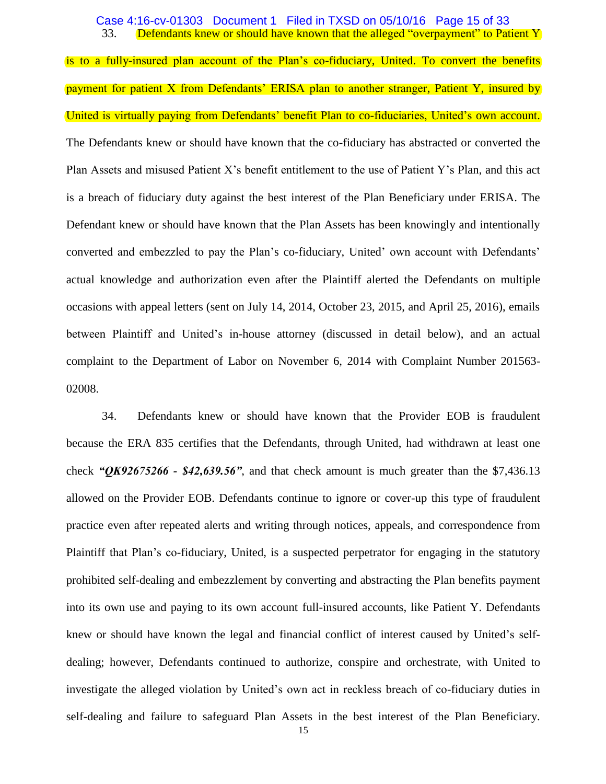33. Defendants knew or should have known that the alleged "overpayment" to Patient Y Case 4:16-cv-01303 Document 1 Filed in TXSD on 05/10/16 Page 15 of 33

is to a fully-insured plan account of the Plan's co-fiduciary, United. To convert the benefits payment for patient X from Defendants' ERISA plan to another stranger, Patient Y, insured by United is virtually paying from Defendants' benefit Plan to co-fiduciaries, United's own account. The Defendants knew or should have known that the co-fiduciary has abstracted or converted the Plan Assets and misused Patient X's benefit entitlement to the use of Patient Y's Plan, and this act is a breach of fiduciary duty against the best interest of the Plan Beneficiary under ERISA. The Defendant knew or should have known that the Plan Assets has been knowingly and intentionally converted and embezzled to pay the Plan's co-fiduciary, United' own account with Defendants' actual knowledge and authorization even after the Plaintiff alerted the Defendants on multiple occasions with appeal letters (sent on July 14, 2014, October 23, 2015, and April 25, 2016), emails between Plaintiff and United's in-house attorney (discussed in detail below), and an actual complaint to the Department of Labor on November 6, 2014 with Complaint Number 201563- 02008.

34. Defendants knew or should have known that the Provider EOB is fraudulent because the ERA 835 certifies that the Defendants, through United, had withdrawn at least one check *"QK92675266 - \$42,639.56"*, and that check amount is much greater than the \$7,436.13 allowed on the Provider EOB. Defendants continue to ignore or cover-up this type of fraudulent practice even after repeated alerts and writing through notices, appeals, and correspondence from Plaintiff that Plan's co-fiduciary, United, is a suspected perpetrator for engaging in the statutory prohibited self-dealing and embezzlement by converting and abstracting the Plan benefits payment into its own use and paying to its own account full-insured accounts, like Patient Y. Defendants knew or should have known the legal and financial conflict of interest caused by United's selfdealing; however, Defendants continued to authorize, conspire and orchestrate, with United to investigate the alleged violation by United's own act in reckless breach of co-fiduciary duties in self-dealing and failure to safeguard Plan Assets in the best interest of the Plan Beneficiary.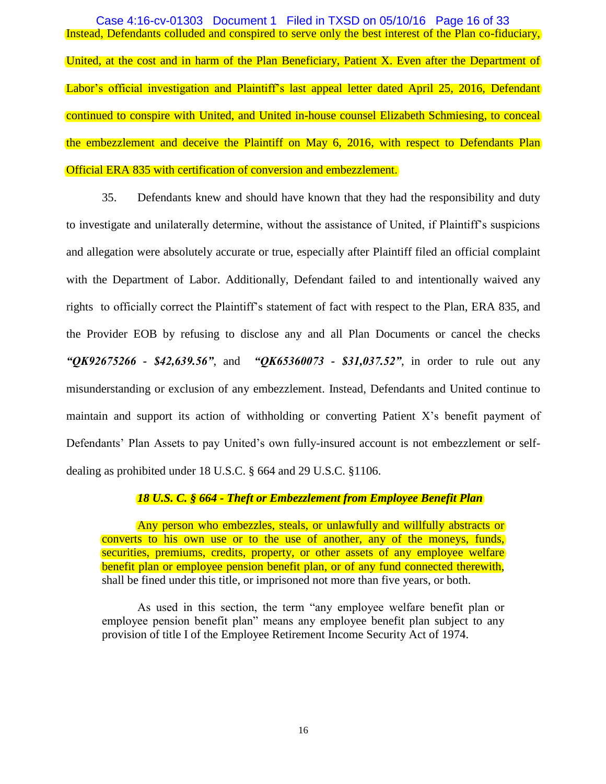Instead, Defendants colluded and conspired to serve only the best interest of the Plan co-fiduciary, United, at the cost and in harm of the Plan Beneficiary, Patient X. Even after the Department of Labor's official investigation and Plaintiff's last appeal letter dated April 25, 2016, Defendant continued to conspire with United, and United in-house counsel Elizabeth Schmiesing, to conceal the embezzlement and deceive the Plaintiff on May 6, 2016, with respect to Defendants Plan Official ERA 835 with certification of conversion and embezzlement. Case 4:16-cv-01303 Document 1 Filed in TXSD on 05/10/16 Page 16 of 33

35. Defendants knew and should have known that they had the responsibility and duty to investigate and unilaterally determine, without the assistance of United, if Plaintiff's suspicions and allegation were absolutely accurate or true, especially after Plaintiff filed an official complaint with the Department of Labor. Additionally, Defendant failed to and intentionally waived any rights to officially correct the Plaintiff's statement of fact with respect to the Plan, ERA 835, and the Provider EOB by refusing to disclose any and all Plan Documents or cancel the checks *"QK92675266 - \$42,639.56"*, and *"QK65360073 - \$31,037.52"*, in order to rule out any misunderstanding or exclusion of any embezzlement. Instead, Defendants and United continue to maintain and support its action of withholding or converting Patient X's benefit payment of Defendants' Plan Assets to pay United's own fully-insured account is not embezzlement or selfdealing as prohibited under 18 U.S.C. § 664 and 29 U.S.C. §1106.

### *18 U.S. C. § 664 - Theft or Embezzlement from Employee Benefit Plan*

Any person who embezzles, steals, or unlawfully and willfully abstracts or converts to his own use or to the use of another, any of the moneys, funds, securities, premiums, credits, property, or other assets of any employee welfare benefit plan or employee pension benefit plan, or of any fund connected therewith, shall be fined under this title, or imprisoned not more than five years, or both.

As used in this section, the term "any employee welfare benefit plan or employee pension benefit plan" means any employee benefit plan subject to any provision of title I of the Employee Retirement Income Security Act of 1974.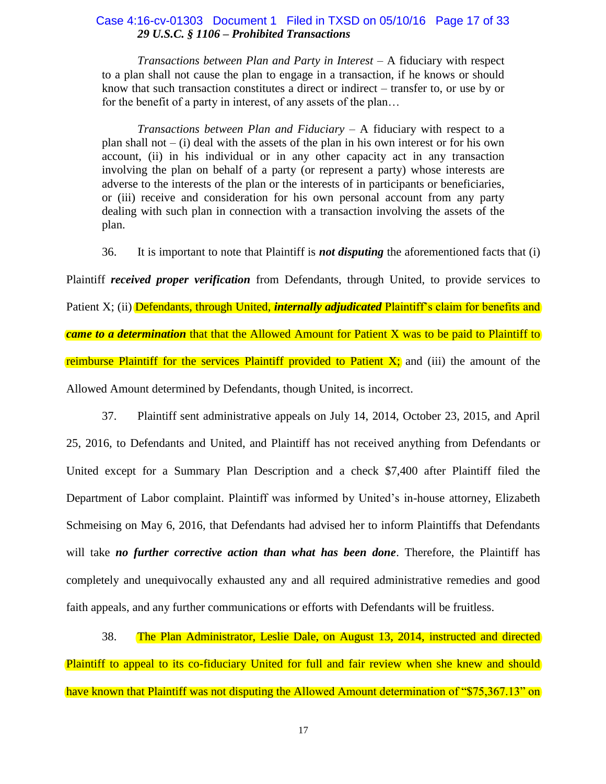# *29 U.S.C. § 1106 – Prohibited Transactions*  Case 4:16-cv-01303 Document 1 Filed in TXSD on 05/10/16 Page 17 of 33

*Transactions between Plan and Party in Interest –* A fiduciary with respect to a plan shall not cause the plan to engage in a transaction, if he knows or should know that such transaction constitutes a direct or indirect – transfer to, or use by or for the benefit of a party in interest, of any assets of the plan…

*Transactions between Plan and Fiduciary* – A fiduciary with respect to a plan shall not  $-$  (i) deal with the assets of the plan in his own interest or for his own account, (ii) in his individual or in any other capacity act in any transaction involving the plan on behalf of a party (or represent a party) whose interests are adverse to the interests of the plan or the interests of in participants or beneficiaries, or (iii) receive and consideration for his own personal account from any party dealing with such plan in connection with a transaction involving the assets of the plan.

36. It is important to note that Plaintiff is *not disputing* the aforementioned facts that (i)

Plaintiff *received proper verification* from Defendants, through United, to provide services to Patient X; (ii) Defendants, through United, *internally adjudicated* Plaintiff's claim for benefits and *came to a determination* that that the Allowed Amount for Patient X was to be paid to Plaintiff to reimburse Plaintiff for the services Plaintiff provided to Patient  $X$ ; and (iii) the amount of the Allowed Amount determined by Defendants, though United, is incorrect.

37. Plaintiff sent administrative appeals on July 14, 2014, October 23, 2015, and April 25, 2016, to Defendants and United, and Plaintiff has not received anything from Defendants or United except for a Summary Plan Description and a check \$7,400 after Plaintiff filed the Department of Labor complaint. Plaintiff was informed by United's in-house attorney, Elizabeth Schmeising on May 6, 2016, that Defendants had advised her to inform Plaintiffs that Defendants will take *no further corrective action than what has been done*. Therefore, the Plaintiff has completely and unequivocally exhausted any and all required administrative remedies and good faith appeals, and any further communications or efforts with Defendants will be fruitless.

38. The Plan Administrator, Leslie Dale, on August 13, 2014, instructed and directed Plaintiff to appeal to its co-fiduciary United for full and fair review when she knew and should have known that Plaintiff was not disputing the Allowed Amount determination of "\$75,367.13" on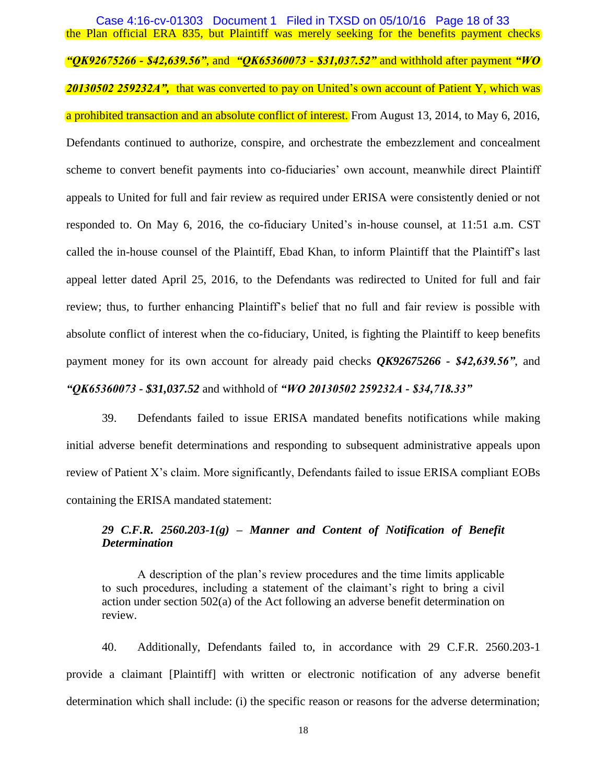the Plan official ERA 835, but Plaintiff was merely seeking for the benefits payment checks *"QK92675266 - \$42,639.56"*, and *"QK65360073 - \$31,037.52"* and withhold after payment *"WO 20130502 259232A",* that was converted to pay on United's own account of Patient Y, which was a prohibited transaction and an absolute conflict of interest. From August 13, 2014, to May 6, 2016, Defendants continued to authorize, conspire, and orchestrate the embezzlement and concealment scheme to convert benefit payments into co-fiduciaries' own account, meanwhile direct Plaintiff appeals to United for full and fair review as required under ERISA were consistently denied or not responded to. On May 6, 2016, the co-fiduciary United's in-house counsel, at 11:51 a.m. CST called the in-house counsel of the Plaintiff, Ebad Khan, to inform Plaintiff that the Plaintiff's last appeal letter dated April 25, 2016, to the Defendants was redirected to United for full and fair review; thus, to further enhancing Plaintiff's belief that no full and fair review is possible with absolute conflict of interest when the co-fiduciary, United, is fighting the Plaintiff to keep benefits payment money for its own account for already paid checks *QK92675266 - \$42,639.56"*, and *"QK65360073 - \$31,037.52* and withhold of *"WO 20130502 259232A - \$34,718.33"* Case 4:16-cv-01303 Document 1 Filed in TXSD on 05/10/16 Page 18 of 33

39. Defendants failed to issue ERISA mandated benefits notifications while making initial adverse benefit determinations and responding to subsequent administrative appeals upon review of Patient X's claim. More significantly, Defendants failed to issue ERISA compliant EOBs containing the ERISA mandated statement:

# *29 C.F.R. 2560.203-1(g) – Manner and Content of Notification of Benefit Determination*

A description of the plan's review procedures and the time limits applicable to such procedures, including a statement of the claimant's right to bring a civil action under section 502(a) of the Act following an adverse benefit determination on review.

40. Additionally, Defendants failed to, in accordance with 29 C.F.R. 2560.203-1 provide a claimant [Plaintiff] with written or electronic notification of any adverse benefit determination which shall include: (i) the specific reason or reasons for the adverse determination;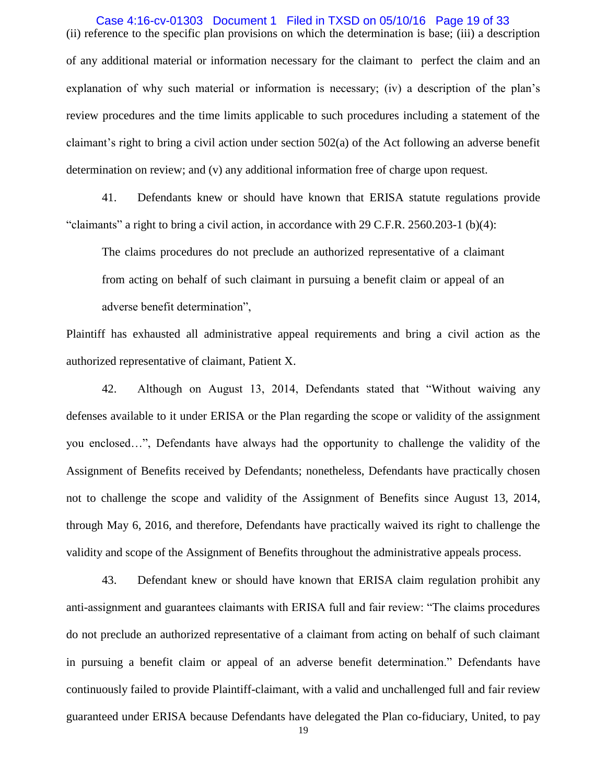(ii) reference to the specific plan provisions on which the determination is base; (iii) a description of any additional material or information necessary for the claimant to perfect the claim and an explanation of why such material or information is necessary; (iv) a description of the plan's review procedures and the time limits applicable to such procedures including a statement of the claimant's right to bring a civil action under section 502(a) of the Act following an adverse benefit determination on review; and (v) any additional information free of charge upon request. Case 4:16-cv-01303 Document 1 Filed in TXSD on 05/10/16 Page 19 of 33

41. Defendants knew or should have known that ERISA statute regulations provide "claimants" a right to bring a civil action, in accordance with 29 C.F.R. 2560.203-1 (b)(4):

The claims procedures do not preclude an authorized representative of a claimant from acting on behalf of such claimant in pursuing a benefit claim or appeal of an adverse benefit determination",

Plaintiff has exhausted all administrative appeal requirements and bring a civil action as the authorized representative of claimant, Patient X.

42. Although on August 13, 2014, Defendants stated that "Without waiving any defenses available to it under ERISA or the Plan regarding the scope or validity of the assignment you enclosed…‖, Defendants have always had the opportunity to challenge the validity of the Assignment of Benefits received by Defendants; nonetheless, Defendants have practically chosen not to challenge the scope and validity of the Assignment of Benefits since August 13, 2014, through May 6, 2016, and therefore, Defendants have practically waived its right to challenge the validity and scope of the Assignment of Benefits throughout the administrative appeals process.

43. Defendant knew or should have known that ERISA claim regulation prohibit any anti-assignment and guarantees claimants with ERISA full and fair review: "The claims procedures do not preclude an authorized representative of a claimant from acting on behalf of such claimant in pursuing a benefit claim or appeal of an adverse benefit determination." Defendants have continuously failed to provide Plaintiff-claimant, with a valid and unchallenged full and fair review guaranteed under ERISA because Defendants have delegated the Plan co-fiduciary, United, to pay

19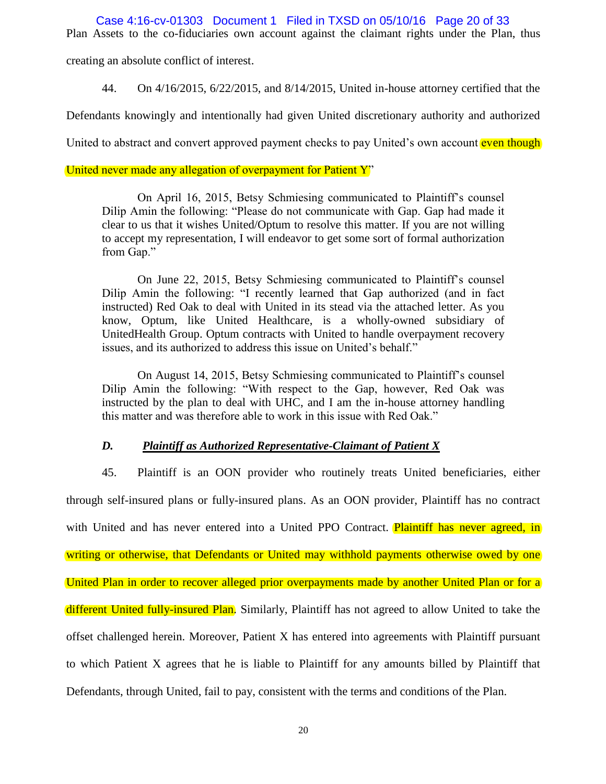Case 4:16-cv-01303 Document 1 Filed in TXSD on 05/10/16 Page 20 of 33

Plan Assets to the co-fiduciaries own account against the claimant rights under the Plan, thus

creating an absolute conflict of interest.

44. On 4/16/2015, 6/22/2015, and 8/14/2015, United in-house attorney certified that the

Defendants knowingly and intentionally had given United discretionary authority and authorized

United to abstract and convert approved payment checks to pay United's own account even though

### United never made any allegation of overpayment for Patient Y<sup>"</sup>

On April 16, 2015, Betsy Schmiesing communicated to Plaintiff's counsel Dilip Amin the following: "Please do not communicate with Gap. Gap had made it clear to us that it wishes United/Optum to resolve this matter. If you are not willing to accept my representation, I will endeavor to get some sort of formal authorization from Gap."

On June 22, 2015, Betsy Schmiesing communicated to Plaintiff's counsel Dilip Amin the following: "I recently learned that Gap authorized (and in fact instructed) Red Oak to deal with United in its stead via the attached letter. As you know, Optum, like United Healthcare, is a wholly-owned subsidiary of UnitedHealth Group. Optum contracts with United to handle overpayment recovery issues, and its authorized to address this issue on United's behalf."

On August 14, 2015, Betsy Schmiesing communicated to Plaintiff's counsel Dilip Amin the following: "With respect to the Gap, however, Red Oak was instructed by the plan to deal with UHC, and I am the in-house attorney handling this matter and was therefore able to work in this issue with Red Oak."

### *D. Plaintiff as Authorized Representative-Claimant of Patient X*

45. Plaintiff is an OON provider who routinely treats United beneficiaries, either through self-insured plans or fully-insured plans. As an OON provider, Plaintiff has no contract with United and has never entered into a United PPO Contract. Plaintiff has never agreed, in writing or otherwise, that Defendants or United may withhold payments otherwise owed by one United Plan in order to recover alleged prior overpayments made by another United Plan or for a different United fully-insured Plan. Similarly, Plaintiff has not agreed to allow United to take the offset challenged herein. Moreover, Patient X has entered into agreements with Plaintiff pursuant to which Patient X agrees that he is liable to Plaintiff for any amounts billed by Plaintiff that Defendants, through United, fail to pay, consistent with the terms and conditions of the Plan.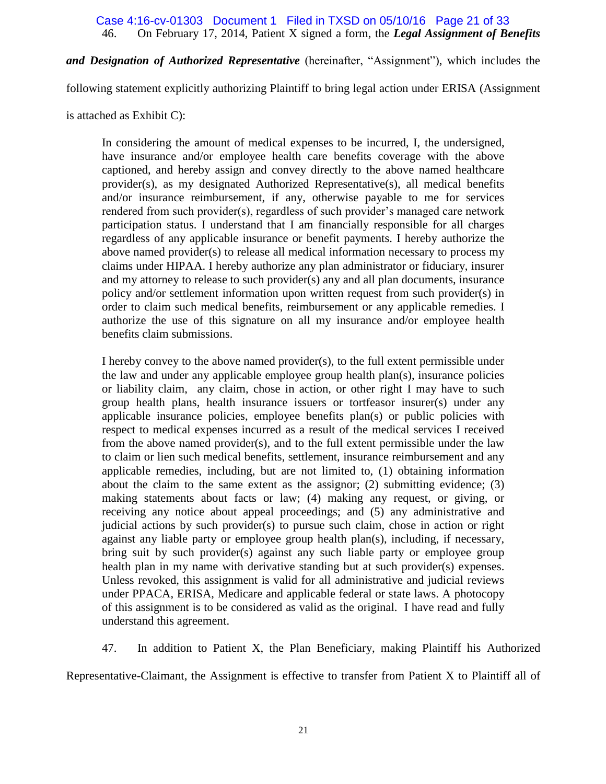### 46. On February 17, 2014, Patient X signed a form, the *Legal Assignment of Benefits*  Case 4:16-cv-01303 Document 1 Filed in TXSD on 05/10/16 Page 21 of 33

*and Designation of Authorized Representative* (hereinafter, "Assignment"), which includes the

following statement explicitly authorizing Plaintiff to bring legal action under ERISA (Assignment

is attached as Exhibit C):

In considering the amount of medical expenses to be incurred, I, the undersigned, have insurance and/or employee health care benefits coverage with the above captioned, and hereby assign and convey directly to the above named healthcare provider(s), as my designated Authorized Representative(s), all medical benefits and/or insurance reimbursement, if any, otherwise payable to me for services rendered from such provider(s), regardless of such provider's managed care network participation status. I understand that I am financially responsible for all charges regardless of any applicable insurance or benefit payments. I hereby authorize the above named provider(s) to release all medical information necessary to process my claims under HIPAA. I hereby authorize any plan administrator or fiduciary, insurer and my attorney to release to such provider(s) any and all plan documents, insurance policy and/or settlement information upon written request from such provider(s) in order to claim such medical benefits, reimbursement or any applicable remedies. I authorize the use of this signature on all my insurance and/or employee health benefits claim submissions.

I hereby convey to the above named provider(s), to the full extent permissible under the law and under any applicable employee group health plan(s), insurance policies or liability claim, any claim, chose in action, or other right I may have to such group health plans, health insurance issuers or tortfeasor insurer(s) under any applicable insurance policies, employee benefits plan(s) or public policies with respect to medical expenses incurred as a result of the medical services I received from the above named provider(s), and to the full extent permissible under the law to claim or lien such medical benefits, settlement, insurance reimbursement and any applicable remedies, including, but are not limited to, (1) obtaining information about the claim to the same extent as the assignor; (2) submitting evidence; (3) making statements about facts or law; (4) making any request, or giving, or receiving any notice about appeal proceedings; and (5) any administrative and judicial actions by such provider(s) to pursue such claim, chose in action or right against any liable party or employee group health plan(s), including, if necessary, bring suit by such provider(s) against any such liable party or employee group health plan in my name with derivative standing but at such provider(s) expenses. Unless revoked, this assignment is valid for all administrative and judicial reviews under PPACA, ERISA, Medicare and applicable federal or state laws. A photocopy of this assignment is to be considered as valid as the original. I have read and fully understand this agreement.

47. In addition to Patient X, the Plan Beneficiary, making Plaintiff his Authorized

Representative-Claimant, the Assignment is effective to transfer from Patient X to Plaintiff all of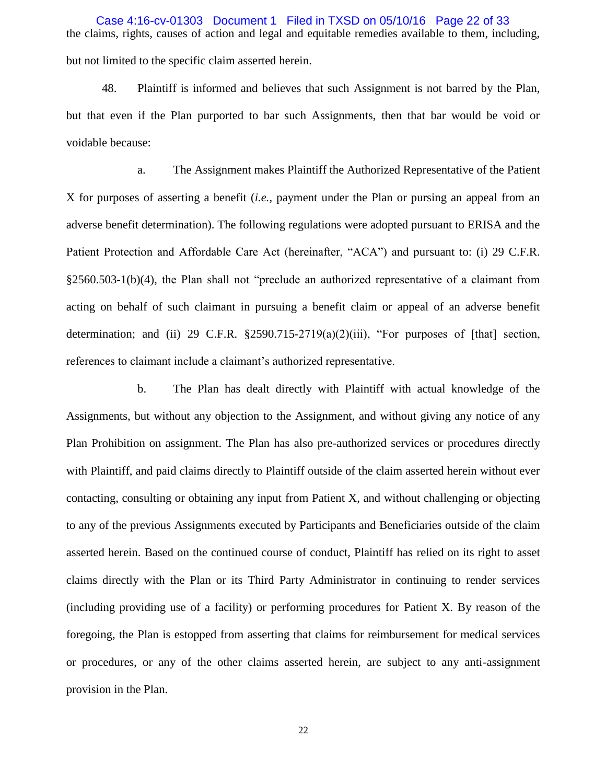the claims, rights, causes of action and legal and equitable remedies available to them, including, but not limited to the specific claim asserted herein. Case 4:16-cv-01303 Document 1 Filed in TXSD on 05/10/16 Page 22 of 33

48. Plaintiff is informed and believes that such Assignment is not barred by the Plan, but that even if the Plan purported to bar such Assignments, then that bar would be void or voidable because:

a. The Assignment makes Plaintiff the Authorized Representative of the Patient X for purposes of asserting a benefit (*i.e.*, payment under the Plan or pursing an appeal from an adverse benefit determination). The following regulations were adopted pursuant to ERISA and the Patient Protection and Affordable Care Act (hereinafter, "ACA") and pursuant to: (i) 29 C.F.R.  $§2560.503-1(b)(4)$ , the Plan shall not "preclude an authorized representative of a claimant from acting on behalf of such claimant in pursuing a benefit claim or appeal of an adverse benefit determination; and (ii) 29 C.F.R.  $\S 2590.715-2719(a)(2)(iii)$ , "For purposes of [that] section, references to claimant include a claimant's authorized representative.

b. The Plan has dealt directly with Plaintiff with actual knowledge of the Assignments, but without any objection to the Assignment, and without giving any notice of any Plan Prohibition on assignment. The Plan has also pre-authorized services or procedures directly with Plaintiff, and paid claims directly to Plaintiff outside of the claim asserted herein without ever contacting, consulting or obtaining any input from Patient X, and without challenging or objecting to any of the previous Assignments executed by Participants and Beneficiaries outside of the claim asserted herein. Based on the continued course of conduct, Plaintiff has relied on its right to asset claims directly with the Plan or its Third Party Administrator in continuing to render services (including providing use of a facility) or performing procedures for Patient X. By reason of the foregoing, the Plan is estopped from asserting that claims for reimbursement for medical services or procedures, or any of the other claims asserted herein, are subject to any anti-assignment provision in the Plan.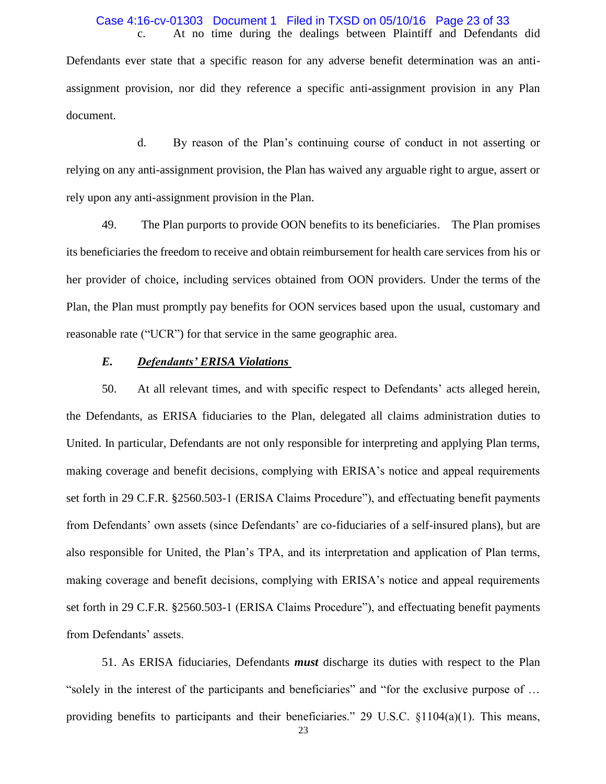#### c. At no time during the dealings between Plaintiff and Defendants did Case 4:16-cv-01303 Document 1 Filed in TXSD on 05/10/16 Page 23 of 33

Defendants ever state that a specific reason for any adverse benefit determination was an antiassignment provision, nor did they reference a specific anti-assignment provision in any Plan document.

d. By reason of the Plan's continuing course of conduct in not asserting or relying on any anti-assignment provision, the Plan has waived any arguable right to argue, assert or rely upon any anti-assignment provision in the Plan.

49. The Plan purports to provide OON benefits to its beneficiaries. The Plan promises its beneficiaries the freedom to receive and obtain reimbursement for health care services from his or her provider of choice, including services obtained from OON providers. Under the terms of the Plan, the Plan must promptly pay benefits for OON services based upon the usual, customary and reasonable rate ("UCR") for that service in the same geographic area.

# *E. Defendants' ERISA Violations*

50. At all relevant times, and with specific respect to Defendants' acts alleged herein, the Defendants, as ERISA fiduciaries to the Plan, delegated all claims administration duties to United. In particular, Defendants are not only responsible for interpreting and applying Plan terms, making coverage and benefit decisions, complying with ERISA's notice and appeal requirements set forth in 29 C.F.R. §2560.503-1 (ERISA Claims Procedure"), and effectuating benefit payments from Defendants' own assets (since Defendants' are co-fiduciaries of a self-insured plans), but are also responsible for United, the Plan's TPA, and its interpretation and application of Plan terms, making coverage and benefit decisions, complying with ERISA's notice and appeal requirements set forth in 29 C.F.R. §2560.503-1 (ERISA Claims Procedure"), and effectuating benefit payments from Defendants' assets.

51. As ERISA fiduciaries, Defendants *must* discharge its duties with respect to the Plan "solely in the interest of the participants and beneficiaries" and "for the exclusive purpose of ... providing benefits to participants and their beneficiaries." 29 U.S.C.  $\S1104(a)(1)$ . This means,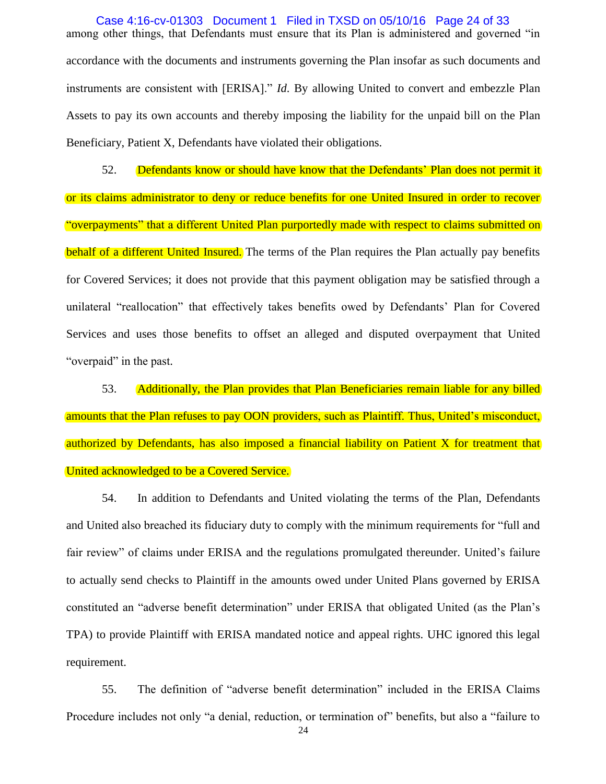among other things, that Defendants must ensure that its Plan is administered and governed "in accordance with the documents and instruments governing the Plan insofar as such documents and instruments are consistent with [ERISA]." *Id*. By allowing United to convert and embezzle Plan Assets to pay its own accounts and thereby imposing the liability for the unpaid bill on the Plan Beneficiary, Patient X, Defendants have violated their obligations. Case 4:16-cv-01303 Document 1 Filed in TXSD on 05/10/16 Page 24 of 33

52. Defendants know or should have know that the Defendants' Plan does not permit it or its claims administrator to deny or reduce benefits for one United Insured in order to recover "overpayments" that a different United Plan purportedly made with respect to claims submitted on behalf of a different United Insured. The terms of the Plan requires the Plan actually pay benefits for Covered Services; it does not provide that this payment obligation may be satisfied through a unilateral "reallocation" that effectively takes benefits owed by Defendants' Plan for Covered Services and uses those benefits to offset an alleged and disputed overpayment that United "overpaid" in the past.

53. Additionally, the Plan provides that Plan Beneficiaries remain liable for any billed amounts that the Plan refuses to pay OON providers, such as Plaintiff. Thus, United's misconduct, authorized by Defendants, has also imposed a financial liability on Patient X for treatment that United acknowledged to be a Covered Service.

54. In addition to Defendants and United violating the terms of the Plan, Defendants and United also breached its fiduciary duty to comply with the minimum requirements for "full and fair review" of claims under ERISA and the regulations promulgated thereunder. United's failure to actually send checks to Plaintiff in the amounts owed under United Plans governed by ERISA constituted an "adverse benefit determination" under ERISA that obligated United (as the Plan's TPA) to provide Plaintiff with ERISA mandated notice and appeal rights. UHC ignored this legal requirement.

55. The definition of "adverse benefit determination" included in the ERISA Claims Procedure includes not only "a denial, reduction, or termination of" benefits, but also a "failure to

24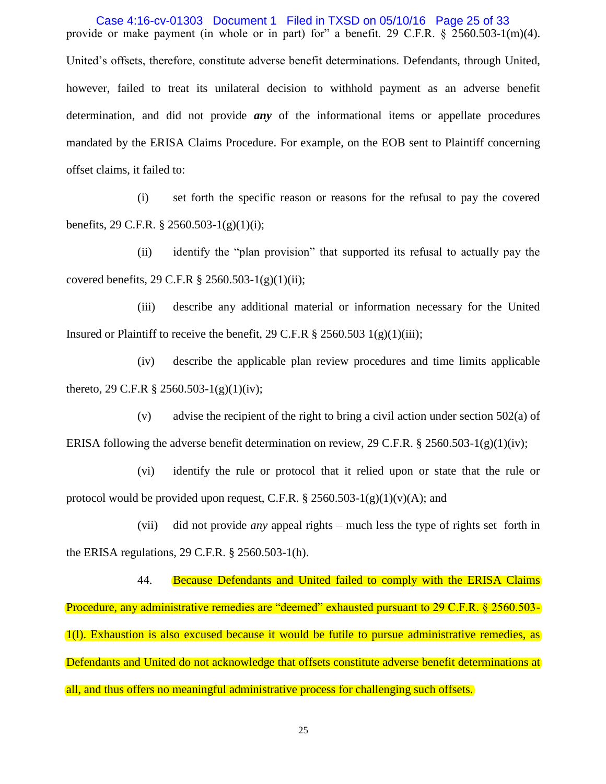provide or make payment (in whole or in part) for" a benefit. 29 C.F.R.  $\frac{\sqrt{2560.503}}{1}$  (m)(4). United's offsets, therefore, constitute adverse benefit determinations. Defendants, through United, however, failed to treat its unilateral decision to withhold payment as an adverse benefit determination, and did not provide *any* of the informational items or appellate procedures mandated by the ERISA Claims Procedure. For example, on the EOB sent to Plaintiff concerning offset claims, it failed to: Case 4:16-cv-01303 Document 1 Filed in TXSD on 05/10/16 Page 25 of 33

(i) set forth the specific reason or reasons for the refusal to pay the covered benefits, 29 C.F.R. § 2560.503-1(g)(1)(i);

(ii) identify the "plan provision" that supported its refusal to actually pay the covered benefits, 29 C.F.R § 2560.503-1(g)(1)(ii);

(iii) describe any additional material or information necessary for the United Insured or Plaintiff to receive the benefit, 29 C.F.R  $\S$  2560.503 1(g)(1)(iii);

(iv) describe the applicable plan review procedures and time limits applicable thereto, 29 C.F.R  $\S 2560.503-1(g)(1)(iv)$ ;

(v) advise the recipient of the right to bring a civil action under section 502(a) of ERISA following the adverse benefit determination on review, 29 C.F.R. § 2560.503-1(g)(1)(iv);

(vi) identify the rule or protocol that it relied upon or state that the rule or protocol would be provided upon request, C.F.R.  $\S 2560.503-1(g)(1)(v)(A)$ ; and

(vii) did not provide *any* appeal rights – much less the type of rights set forth in the ERISA regulations, 29 C.F.R. § 2560.503-1(h).

44. Because Defendants and United failed to comply with the ERISA Claims Procedure, any administrative remedies are "deemed" exhausted pursuant to 29 C.F.R. § 2560.503-1(l). Exhaustion is also excused because it would be futile to pursue administrative remedies, as Defendants and United do not acknowledge that offsets constitute adverse benefit determinations at all, and thus offers no meaningful administrative process for challenging such offsets.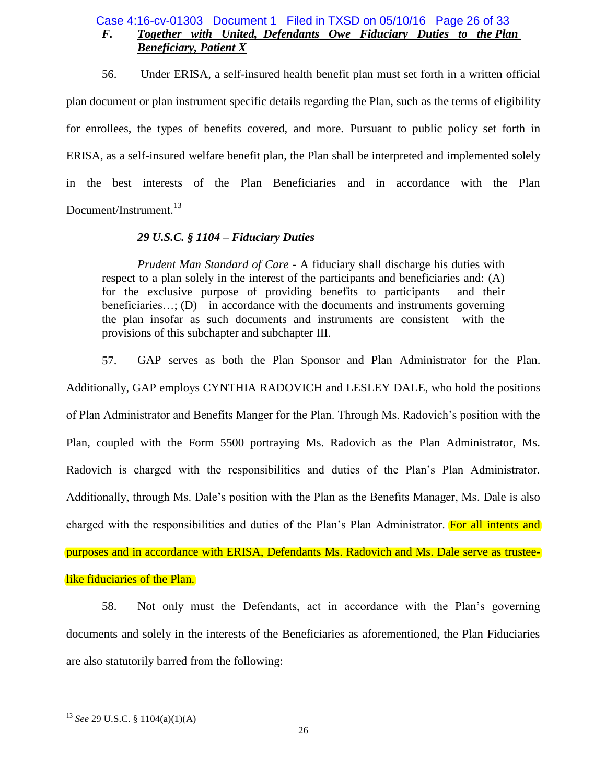# *F. Together with United, Defendants Owe Fiduciary Duties to the Plan Beneficiary, Patient X* Case 4:16-cv-01303 Document 1 Filed in TXSD on 05/10/16 Page 26 of 33

56. Under ERISA, a self-insured health benefit plan must set forth in a written official plan document or plan instrument specific details regarding the Plan, such as the terms of eligibility for enrollees, the types of benefits covered, and more. Pursuant to public policy set forth in ERISA, as a self-insured welfare benefit plan, the Plan shall be interpreted and implemented solely in the best interests of the Plan Beneficiaries and in accordance with the Plan Document/Instrument.<sup>13</sup>

# *29 U.S.C. § 1104 – Fiduciary Duties*

*Prudent Man Standard of Care -* A fiduciary shall discharge his duties with respect to a plan solely in the interest of the participants and beneficiaries and: (A) for the exclusive purpose of providing benefits to participants and their beneficiaries...; (D) in accordance with the documents and instruments governing the plan insofar as such documents and instruments are consistent with the provisions of this subchapter and subchapter III.

57. GAP serves as both the Plan Sponsor and Plan Administrator for the Plan. Additionally, GAP employs CYNTHIA RADOVICH and LESLEY DALE, who hold the positions of Plan Administrator and Benefits Manger for the Plan. Through Ms. Radovich's position with the Plan, coupled with the Form 5500 portraying Ms. Radovich as the Plan Administrator, Ms. Radovich is charged with the responsibilities and duties of the Plan's Plan Administrator. Additionally, through Ms. Dale's position with the Plan as the Benefits Manager, Ms. Dale is also charged with the responsibilities and duties of the Plan's Plan Administrator. For all intents and purposes and in accordance with ERISA, Defendants Ms. Radovich and Ms. Dale serve as trusteelike fiduciaries of the Plan.

58. Not only must the Defendants, act in accordance with the Plan's governing documents and solely in the interests of the Beneficiaries as aforementioned, the Plan Fiduciaries are also statutorily barred from the following:

 $\overline{a}$ 

<sup>13</sup> *See* 29 U.S.C. § 1104(a)(1)(A)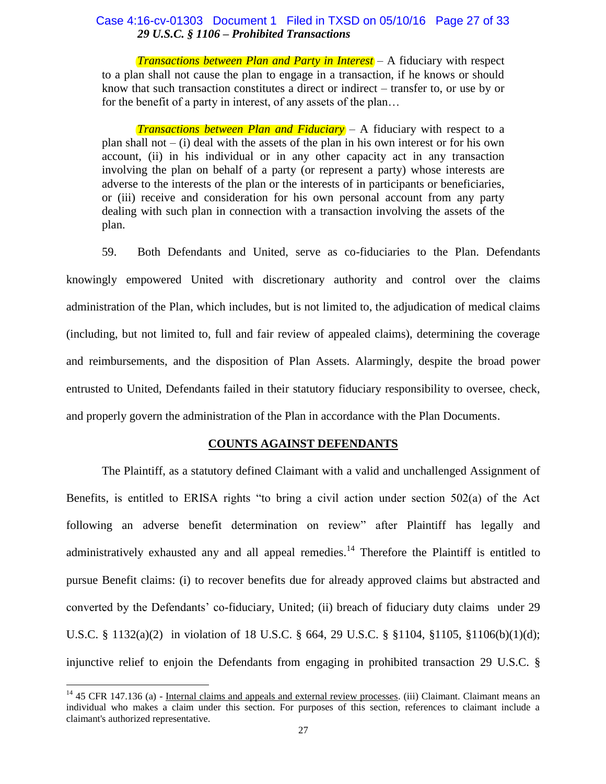# *29 U.S.C. § 1106 – Prohibited Transactions*  Case 4:16-cv-01303 Document 1 Filed in TXSD on 05/10/16 Page 27 of 33

*Transactions between Plan and Party in Interest –* A fiduciary with respect to a plan shall not cause the plan to engage in a transaction, if he knows or should know that such transaction constitutes a direct or indirect – transfer to, or use by or for the benefit of a party in interest, of any assets of the plan…

*Transactions between Plan and Fiduciary* – A fiduciary with respect to a plan shall not  $-$  (i) deal with the assets of the plan in his own interest or for his own account, (ii) in his individual or in any other capacity act in any transaction involving the plan on behalf of a party (or represent a party) whose interests are adverse to the interests of the plan or the interests of in participants or beneficiaries, or (iii) receive and consideration for his own personal account from any party dealing with such plan in connection with a transaction involving the assets of the plan.

59. Both Defendants and United, serve as co-fiduciaries to the Plan. Defendants knowingly empowered United with discretionary authority and control over the claims administration of the Plan, which includes, but is not limited to, the adjudication of medical claims (including, but not limited to, full and fair review of appealed claims), determining the coverage and reimbursements, and the disposition of Plan Assets. Alarmingly, despite the broad power entrusted to United, Defendants failed in their statutory fiduciary responsibility to oversee, check, and properly govern the administration of the Plan in accordance with the Plan Documents.

### **COUNTS AGAINST DEFENDANTS**

The Plaintiff, as a statutory defined Claimant with a valid and unchallenged Assignment of Benefits, is entitled to ERISA rights "to bring a civil action under section  $502(a)$  of the Act following an adverse benefit determination on review" after Plaintiff has legally and administratively exhausted any and all appeal remedies.<sup>14</sup> Therefore the Plaintiff is entitled to pursue Benefit claims: (i) to recover benefits due for already approved claims but abstracted and converted by the Defendants' co-fiduciary, United; (ii) breach of fiduciary duty claims under 29 U.S.C. § 1132(a)(2) in violation of 18 U.S.C. § 664, 29 U.S.C. § §1104, §1105, §1106(b)(1)(d); injunctive relief to enjoin the Defendants from engaging in prohibited transaction 29 U.S.C. §

 $\ddot{\phantom{a}}$ 

 $14$  45 CFR 147.136 (a) - Internal claims and appeals and external review processes. (iii) Claimant. Claimant means an individual who makes a claim under this section. For purposes of this section, references to claimant include a claimant's authorized representative.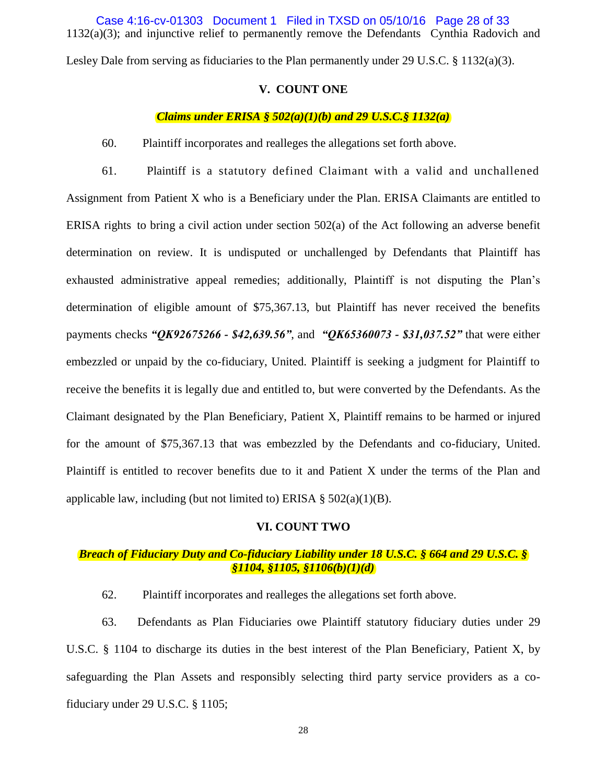1132(a)(3); and injunctive relief to permanently remove the Defendants Cynthia Radovich and Case 4:16-cv-01303 Document 1 Filed in TXSD on 05/10/16 Page 28 of 33

Lesley Dale from serving as fiduciaries to the Plan permanently under 29 U.S.C. § 1132(a)(3).

# **V. COUNT ONE**

# *Claims under ERISA § 502(a)(1)(b) and 29 U.S.C.§ 1132(a)*

60. Plaintiff incorporates and realleges the allegations set forth above.

61. Plaintiff is a statutory defined Claimant with a valid and unchallened Assignment from Patient X who is a Beneficiary under the Plan. ERISA Claimants are entitled to ERISA rights to bring a civil action under section 502(a) of the Act following an adverse benefit determination on review. It is undisputed or unchallenged by Defendants that Plaintiff has exhausted administrative appeal remedies; additionally, Plaintiff is not disputing the Plan's determination of eligible amount of \$75,367.13, but Plaintiff has never received the benefits payments checks *"QK92675266 - \$42,639.56"*, and *"QK65360073 - \$31,037.52"* that were either embezzled or unpaid by the co-fiduciary, United. Plaintiff is seeking a judgment for Plaintiff to receive the benefits it is legally due and entitled to, but were converted by the Defendants. As the Claimant designated by the Plan Beneficiary, Patient X, Plaintiff remains to be harmed or injured for the amount of \$75,367.13 that was embezzled by the Defendants and co-fiduciary, United. Plaintiff is entitled to recover benefits due to it and Patient X under the terms of the Plan and applicable law, including (but not limited to) ERISA  $\S 502(a)(1)(B)$ .

#### **VI. COUNT TWO**

# *Breach of Fiduciary Duty and Co-fiduciary Liability under 18 U.S.C. § 664 and 29 U.S.C. § §1104, §1105, §1106(b)(1)(d)*

62. Plaintiff incorporates and realleges the allegations set forth above.

63. Defendants as Plan Fiduciaries owe Plaintiff statutory fiduciary duties under 29 U.S.C. § 1104 to discharge its duties in the best interest of the Plan Beneficiary, Patient X, by safeguarding the Plan Assets and responsibly selecting third party service providers as a cofiduciary under 29 U.S.C. § 1105;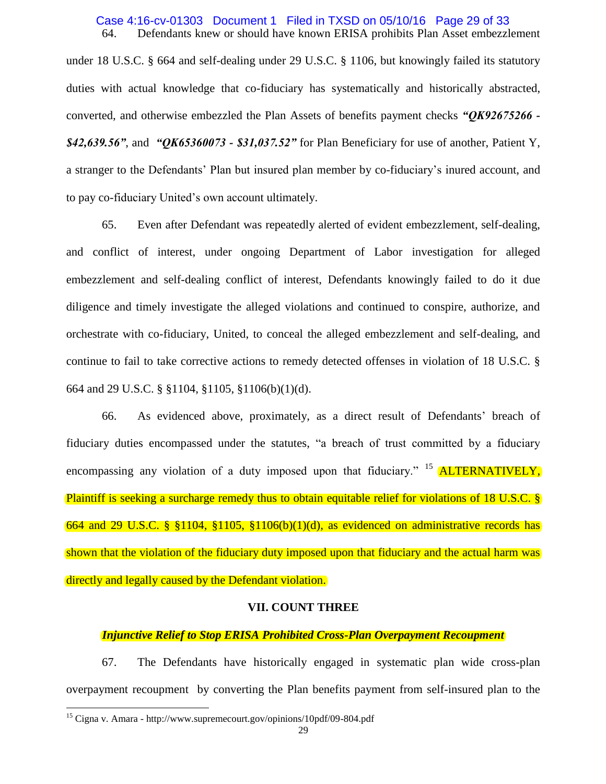#### 64. Defendants knew or should have known ERISA prohibits Plan Asset embezzlement Case 4:16-cv-01303 Document 1 Filed in TXSD on 05/10/16 Page 29 of 33

under 18 U.S.C. § 664 and self-dealing under 29 U.S.C. § 1106, but knowingly failed its statutory duties with actual knowledge that co-fiduciary has systematically and historically abstracted, converted, and otherwise embezzled the Plan Assets of benefits payment checks *"QK92675266 - \$42,639.56"*, and *"QK65360073 - \$31,037.52"* for Plan Beneficiary for use of another, Patient Y, a stranger to the Defendants' Plan but insured plan member by co-fiduciary's inured account, and to pay co-fiduciary United's own account ultimately.

65. Even after Defendant was repeatedly alerted of evident embezzlement, self-dealing, and conflict of interest, under ongoing Department of Labor investigation for alleged embezzlement and self-dealing conflict of interest, Defendants knowingly failed to do it due diligence and timely investigate the alleged violations and continued to conspire, authorize, and orchestrate with co-fiduciary, United, to conceal the alleged embezzlement and self-dealing, and continue to fail to take corrective actions to remedy detected offenses in violation of 18 U.S.C. § 664 and 29 U.S.C. § §1104, §1105, §1106(b)(1)(d).

66. As evidenced above, proximately, as a direct result of Defendants' breach of fiduciary duties encompassed under the statutes, "a breach of trust committed by a fiduciary encompassing any violation of a duty imposed upon that fiduciary.<sup> $15$ </sup> **ALTERNATIVELY**, Plaintiff is seeking a surcharge remedy thus to obtain equitable relief for violations of 18 U.S.C. § 664 and 29 U.S.C. § §1104, §1105, §1106(b)(1)(d), as evidenced on administrative records has shown that the violation of the fiduciary duty imposed upon that fiduciary and the actual harm was directly and legally caused by the Defendant violation.

### **VII. COUNT THREE**

#### *Injunctive Relief to Stop ERISA Prohibited Cross-Plan Overpayment Recoupment*

67. The Defendants have historically engaged in systematic plan wide cross-plan overpayment recoupment by converting the Plan benefits payment from self-insured plan to the

 $\overline{a}$ 

<sup>15</sup> Cigna v. Amara - http://www.supremecourt.gov/opinions/10pdf/09-804.pdf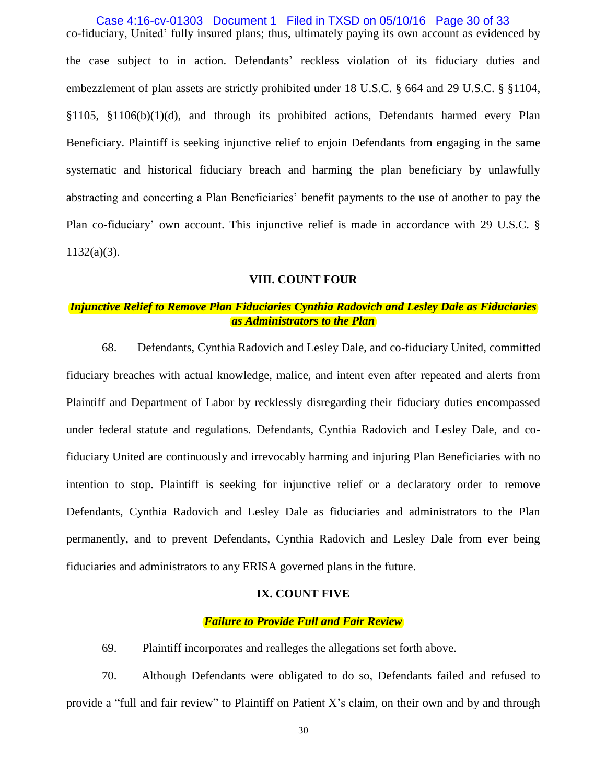co-fiduciary, United' fully insured plans; thus, ultimately paying its own account as evidenced by the case subject to in action. Defendants' reckless violation of its fiduciary duties and embezzlement of plan assets are strictly prohibited under 18 U.S.C. § 664 and 29 U.S.C. § §1104, §1105, §1106(b)(1)(d), and through its prohibited actions, Defendants harmed every Plan Beneficiary. Plaintiff is seeking injunctive relief to enjoin Defendants from engaging in the same systematic and historical fiduciary breach and harming the plan beneficiary by unlawfully abstracting and concerting a Plan Beneficiaries' benefit payments to the use of another to pay the Plan co-fiduciary' own account. This injunctive relief is made in accordance with 29 U.S.C. §  $1132(a)(3)$ . Case 4:16-cv-01303 Document 1 Filed in TXSD on 05/10/16 Page 30 of 33

# **VIII. COUNT FOUR**

# *Injunctive Relief to Remove Plan Fiduciaries Cynthia Radovich and Lesley Dale as Fiduciaries as Administrators to the Plan*

68. Defendants, Cynthia Radovich and Lesley Dale, and co-fiduciary United, committed fiduciary breaches with actual knowledge, malice, and intent even after repeated and alerts from Plaintiff and Department of Labor by recklessly disregarding their fiduciary duties encompassed under federal statute and regulations. Defendants, Cynthia Radovich and Lesley Dale, and cofiduciary United are continuously and irrevocably harming and injuring Plan Beneficiaries with no intention to stop. Plaintiff is seeking for injunctive relief or a declaratory order to remove Defendants, Cynthia Radovich and Lesley Dale as fiduciaries and administrators to the Plan permanently, and to prevent Defendants, Cynthia Radovich and Lesley Dale from ever being fiduciaries and administrators to any ERISA governed plans in the future.

### **IX. COUNT FIVE**

## *Failure to Provide Full and Fair Review*

69. Plaintiff incorporates and realleges the allegations set forth above.

70. Although Defendants were obligated to do so, Defendants failed and refused to provide a "full and fair review" to Plaintiff on Patient X's claim, on their own and by and through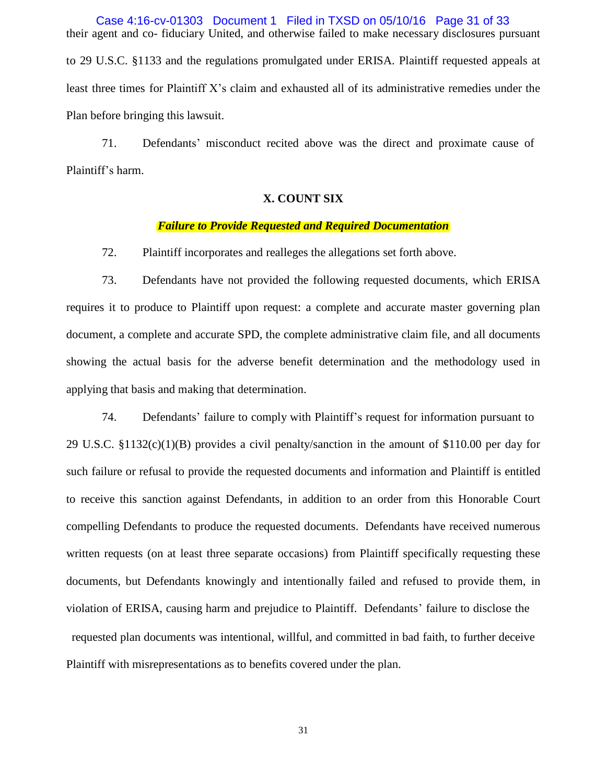their agent and co- fiduciary United, and otherwise failed to make necessary disclosures pursuant to 29 U.S.C. §1133 and the regulations promulgated under ERISA. Plaintiff requested appeals at least three times for Plaintiff X's claim and exhausted all of its administrative remedies under the Plan before bringing this lawsuit. Case 4:16-cv-01303 Document 1 Filed in TXSD on 05/10/16 Page 31 of 33

71. Defendants' misconduct recited above was the direct and proximate cause of Plaintiff's harm.

# **X. COUNT SIX**

#### *Failure to Provide Requested and Required Documentation*

72. Plaintiff incorporates and realleges the allegations set forth above.

73. Defendants have not provided the following requested documents, which ERISA requires it to produce to Plaintiff upon request: a complete and accurate master governing plan document, a complete and accurate SPD, the complete administrative claim file, and all documents showing the actual basis for the adverse benefit determination and the methodology used in applying that basis and making that determination.

74. Defendants' failure to comply with Plaintiff's request for information pursuant to 29 U.S.C. §1132(c)(1)(B) provides a civil penalty/sanction in the amount of \$110.00 per day for such failure or refusal to provide the requested documents and information and Plaintiff is entitled to receive this sanction against Defendants, in addition to an order from this Honorable Court compelling Defendants to produce the requested documents. Defendants have received numerous written requests (on at least three separate occasions) from Plaintiff specifically requesting these documents, but Defendants knowingly and intentionally failed and refused to provide them, in violation of ERISA, causing harm and prejudice to Plaintiff. Defendants' failure to disclose the requested plan documents was intentional, willful, and committed in bad faith, to further deceive Plaintiff with misrepresentations as to benefits covered under the plan.

31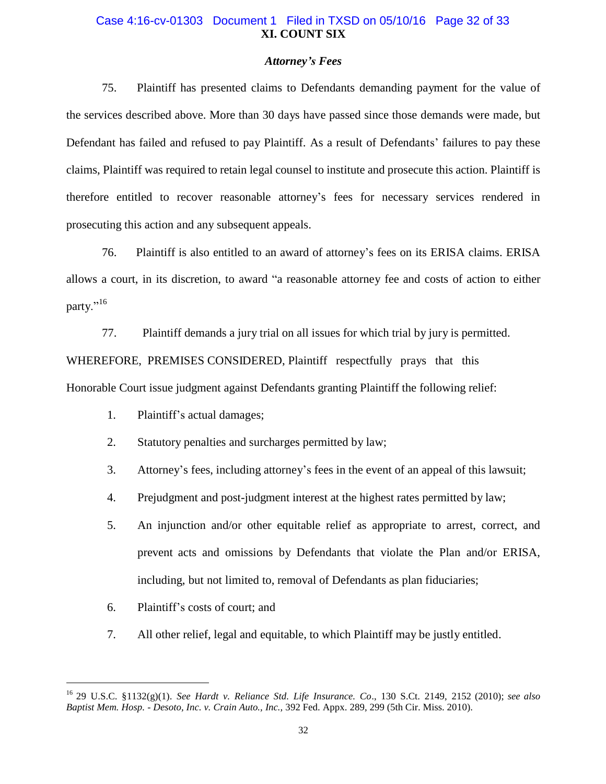# **XI. COUNT SIX** Case 4:16-cv-01303 Document 1 Filed in TXSD on 05/10/16 Page 32 of 33

### *Attorney's Fees*

75. Plaintiff has presented claims to Defendants demanding payment for the value of the services described above. More than 30 days have passed since those demands were made, but Defendant has failed and refused to pay Plaintiff. As a result of Defendants' failures to pay these claims, Plaintiff was required to retain legal counsel to institute and prosecute this action. Plaintiff is therefore entitled to recover reasonable attorney's fees for necessary services rendered in prosecuting this action and any subsequent appeals.

76. Plaintiff is also entitled to an award of attorney's fees on its ERISA claims. ERISA allows a court, in its discretion, to award "a reasonable attorney fee and costs of action to either party."<sup>16</sup>

77. Plaintiff demands a jury trial on all issues for which trial by jury is permitted.

WHEREFORE, PREMISES CONSIDERED, Plaintiff respectfully prays that this

Honorable Court issue judgment against Defendants granting Plaintiff the following relief:

- 1. Plaintiff's actual damages;
- 2. Statutory penalties and surcharges permitted by law;
- 3. Attorney's fees, including attorney's fees in the event of an appeal of this lawsuit;
- 4. Prejudgment and post-judgment interest at the highest rates permitted by law;
- 5. An injunction and/or other equitable relief as appropriate to arrest, correct, and prevent acts and omissions by Defendants that violate the Plan and/or ERISA, including, but not limited to, removal of Defendants as plan fiduciaries;
- 6. Plaintiff's costs of court; and

 $\overline{a}$ 

7. All other relief, legal and equitable, to which Plaintiff may be justly entitled.

<sup>16</sup> 29 U.S.C. §1132(g)(1). *See Hardt v. Reliance Std. Life Insurance. Co*., 130 S.Ct. 2149, 2152 (2010); *see also Baptist Mem. Hosp. - Desoto, Inc. v. Crain Auto., Inc.,* 392 Fed. Appx. 289, 299 (5th Cir. Miss. 2010).